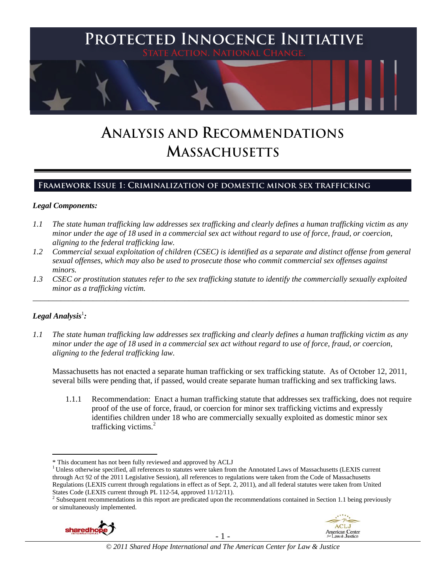

# **ANALYSIS AND RECOMMENDATIONS MASSACHUSETTS**

# **Framework Issue 1: Criminalization of domestic minor sex trafficking**

# *Legal Components:*

- *1.1 The state human trafficking law addresses sex trafficking and clearly defines a human trafficking victim as any minor under the age of 18 used in a commercial sex act without regard to use of force, fraud, or coercion, aligning to the federal trafficking law.*
- *1.2 Commercial sexual exploitation of children (CSEC) is identified as a separate and distinct offense from general sexual offenses, which may also be used to prosecute those who commit commercial sex offenses against minors.*
- *1.3 CSEC or prostitution statutes refer to the sex trafficking statute to identify the commercially sexually exploited minor as a trafficking victim.*  \_\_\_\_\_\_\_\_\_\_\_\_\_\_\_\_\_\_\_\_\_\_\_\_\_\_\_\_\_\_\_\_\_\_\_\_\_\_\_\_\_\_\_\_\_\_\_\_\_\_\_\_\_\_\_\_\_\_\_\_\_\_\_\_\_\_\_\_\_\_\_\_\_\_\_\_\_\_\_\_\_\_\_\_\_\_\_\_\_\_\_\_\_\_

# $\bm{\mathit{Legal\, Analysis}^{\text{!}}:}$

 $\overline{a}$ 

*1.1 The state human trafficking law addresses sex trafficking and clearly defines a human trafficking victim as any minor under the age of 18 used in a commercial sex act without regard to use of force, fraud, or coercion, aligning to the federal trafficking law.*

Massachusetts has not enacted a separate human trafficking or sex trafficking statute. As of October 12, 2011, several bills were pending that, if passed, would create separate human trafficking and sex trafficking laws.

1.1.1 Recommendation: Enact a human trafficking statute that addresses sex trafficking, does not require proof of the use of force, fraud, or coercion for minor sex trafficking victims and expressly identifies children under 18 who are commercially sexually exploited as domestic minor sex trafficking victims.<sup>2</sup>

<sup>&</sup>lt;sup>2</sup> Subsequent recommendations in this report are predicated upon the recommendations contained in Section 1.1 being previously or simultaneously implemented.





<sup>\*</sup> This document has not been fully reviewed and approved by ACLJ 1 Unless otherwise specified, all references to statutes were taken from the Annotated Laws of Massachusetts (LEXIS current through Act 92 of the 2011 Legislative Session), all references to regulations were taken from the Code of Massachusetts Regulations (LEXIS current through regulations in effect as of Sept. 2, 2011), and all federal statutes were taken from United States Code (LEXIS current through PL 112-54, approved 11/12/11).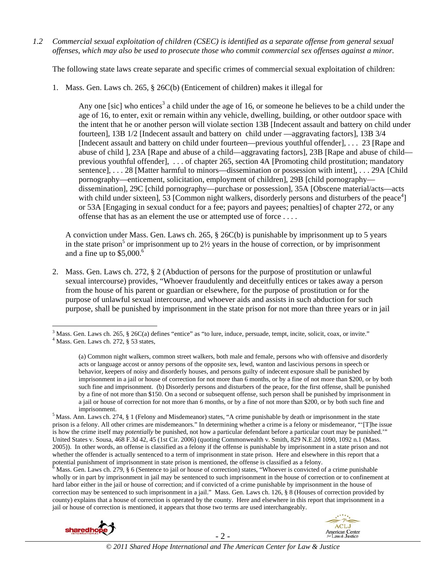*1.2 Commercial sexual exploitation of children (CSEC) is identified as a separate offense from general sexual offenses, which may also be used to prosecute those who commit commercial sex offenses against a minor.*

The following state laws create separate and specific crimes of commercial sexual exploitation of children:

1. Mass. Gen. Laws ch. 265, § 26C(b) (Enticement of children) makes it illegal for

Any one [sic] who entices<sup>3</sup> a child under the age of 16, or someone he believes to be a child under the age of 16, to enter, exit or remain within any vehicle, dwelling, building, or other outdoor space with the intent that he or another person will violate section 13B [Indecent assault and battery on child under fourteen], 13B 1/2 [Indecent assault and battery on child under —aggravating factors], 13B 3/4 [Indecent assault and battery on child under fourteen—previous youthful offender], . . . 23 [Rape and abuse of child ], 23A [Rape and abuse of a child—aggravating factors], 23B [Rape and abuse of child previous youthful offender], . . . of chapter 265, section 4A [Promoting child prostitution; mandatory sentence], . . . 28 [Matter harmful to minors—dissemination or possession with intent], . . . 29A [Child] pornography—enticement, solicitation, employment of children], 29B [child pornography dissemination], 29C [child pornography—purchase or possession], 35A [Obscene material/acts—acts with child under sixteen],  $\overline{53}$  [Common night walkers, disorderly persons and disturbers of the peace<sup>4</sup>] or 53A [Engaging in sexual conduct for a fee; payors and payees; penalties] of chapter 272, or any offense that has as an element the use or attempted use of force . . . .

A conviction under Mass. Gen. Laws ch. 265, § 26C(b) is punishable by imprisonment up to 5 years in the state prison<sup>5</sup> or imprisonment up to  $2\frac{1}{2}$  years in the house of correction, or by imprisonment and a fine up to  $$5,000$ .<sup>6</sup>

2. Mass. Gen. Laws ch. 272, § 2 (Abduction of persons for the purpose of prostitution or unlawful sexual intercourse) provides, "Whoever fraudulently and deceitfully entices or takes away a person from the house of his parent or guardian or elsewhere, for the purpose of prostitution or for the purpose of unlawful sexual intercourse, and whoever aids and assists in such abduction for such purpose, shall be punished by imprisonment in the state prison for not more than three years or in jail

Mass. Gen. Laws ch. 279, § 6 (Sentence to jail or house of correction) states, "Whoever is convicted of a crime punishable wholly or in part by imprisonment in jail may be sentenced to such imprisonment in the house of correction or to confinement at hard labor either in the jail or house of correction; and if convicted of a crime punishable by imprisonment in the house of correction may be sentenced to such imprisonment in a jail." Mass. Gen. Laws ch. 126, § 8 (Houses of correction provided by county) explains that a house of correction is operated by the county. Here and elsewhere in this report that imprisonment in a jail or house of correction is mentioned, it appears that those two terms are used interchangeably.





<sup>&</sup>lt;sup>3</sup> Mass. Gen. Laws ch. 265, § 26C(a) defines "entice" as "to lure, induce, persuade, tempt, incite, solicit, coax, or invite."  $4 \text{ Mose}$  Gen. Laws ch. 272, § 53 states.  $<sup>4</sup>$  Mass. Gen. Laws ch. 272,  $\S$  53 states,</sup>

<sup>(</sup>a) Common night walkers, common street walkers, both male and female, persons who with offensive and disorderly acts or language accost or annoy persons of the opposite sex, lewd, wanton and lascivious persons in speech or behavior, keepers of noisy and disorderly houses, and persons guilty of indecent exposure shall be punished by imprisonment in a jail or house of correction for not more than 6 months, or by a fine of not more than \$200, or by both such fine and imprisonment. (b) Disorderly persons and disturbers of the peace, for the first offense, shall be punished by a fine of not more than \$150. On a second or subsequent offense, such person shall be punished by imprisonment in a jail or house of correction for not more than 6 months, or by a fine of not more than \$200, or by both such fine and

imprisonment. 5 Mass. Ann. Laws ch. 274, § 1 (Felony and Misdemeanor) states, "A crime punishable by death or imprisonment in the state prison is a felony. All other crimes are misdemeanors." In determining whether a crime is a felony or misdemeanor, "'[T]he issue is how the crime itself may *potentially* be punished, not how a particular defendant before a particular court may be punished.'" United States v. Sousa, 468 F.3d 42, 45 (1st Cir. 2006) (quoting Commonwealth v. Smith, 829 N.E.2d 1090, 1092 n.1 (Mass. 2005)). In other words, an offense is classified as a felony if the offense is punishable by imprisonment in a state prison and not whether the offender is actually sentenced to a term of imprisonment in state prison. Here and elsewhere in this report that a potential punishment of imprisonment in state prison is mentioned, the offense is classified as a felony.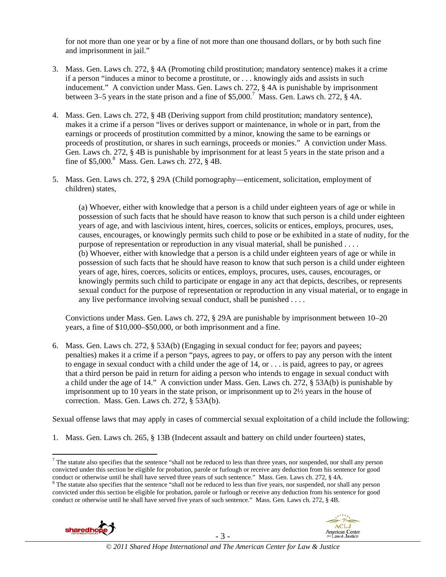for not more than one year or by a fine of not more than one thousand dollars, or by both such fine and imprisonment in jail."

- 3. Mass. Gen. Laws ch. 272, § 4A (Promoting child prostitution; mandatory sentence) makes it a crime if a person "induces a minor to become a prostitute, or . . . knowingly aids and assists in such inducement." A conviction under Mass. Gen. Laws ch. 272, § 4A is punishable by imprisonment between 3–5 years in the state prison and a fine of  $$5,000$ .<sup>7</sup> Mass. Gen. Laws ch. 272, § 4A.
- 4. Mass. Gen. Laws ch. 272, § 4B (Deriving support from child prostitution; mandatory sentence), makes it a crime if a person "lives or derives support or maintenance, in whole or in part, from the earnings or proceeds of prostitution committed by a minor, knowing the same to be earnings or proceeds of prostitution, or shares in such earnings, proceeds or monies." A conviction under Mass. Gen. Laws ch. 272, § 4B is punishable by imprisonment for at least 5 years in the state prison and a fine of  $$5,000$ .<sup>8</sup> Mass. Gen. Laws ch. 272,  $§$  4B.
- 5. Mass. Gen. Laws ch. 272, § 29A (Child pornography—enticement, solicitation, employment of children) states,

(a) Whoever, either with knowledge that a person is a child under eighteen years of age or while in possession of such facts that he should have reason to know that such person is a child under eighteen years of age, and with lascivious intent, hires, coerces, solicits or entices, employs, procures, uses, causes, encourages, or knowingly permits such child to pose or be exhibited in a state of nudity, for the purpose of representation or reproduction in any visual material, shall be punished . . . . (b) Whoever, either with knowledge that a person is a child under eighteen years of age or while in possession of such facts that he should have reason to know that such person is a child under eighteen years of age, hires, coerces, solicits or entices, employs, procures, uses, causes, encourages, or knowingly permits such child to participate or engage in any act that depicts, describes, or represents sexual conduct for the purpose of representation or reproduction in any visual material, or to engage in any live performance involving sexual conduct, shall be punished . . . .

Convictions under Mass. Gen. Laws ch. 272, § 29A are punishable by imprisonment between 10–20 years, a fine of \$10,000–\$50,000, or both imprisonment and a fine.

6. Mass. Gen. Laws ch. 272, § 53A(b) (Engaging in sexual conduct for fee; payors and payees; penalties) makes it a crime if a person "pays, agrees to pay, or offers to pay any person with the intent to engage in sexual conduct with a child under the age of 14, or . . . is paid, agrees to pay, or agrees that a third person be paid in return for aiding a person who intends to engage in sexual conduct with a child under the age of 14." A conviction under Mass. Gen. Laws ch. 272, § 53A(b) is punishable by imprisonment up to 10 years in the state prison, or imprisonment up to  $2\frac{1}{2}$  years in the house of correction. Mass. Gen. Laws ch. 272, § 53A(b).

Sexual offense laws that may apply in cases of commercial sexual exploitation of a child include the following:

1. Mass. Gen. Laws ch. 265, § 13B (Indecent assault and battery on child under fourteen) states,

<sup>&</sup>lt;sup>8</sup> The statute also specifies that the sentence "shall not be reduced to less than five years, nor suspended, nor shall any person convicted under this section be eligible for probation, parole or furlough or receive any deduction from his sentence for good conduct or otherwise until he shall have served five years of such sentence." Mass. Gen. Laws ch. 272, § 4B.





 $^7$  The statute also specifies that the sentence "shall not be reduced to less than three years, nor suspended, nor shall any person convicted under this section be eligible for probation, parole or furlough or receive any deduction from his sentence for good conduct or otherwise until he shall have served three years of such sentence." Mass. Gen. Laws ch. 272, § 4A.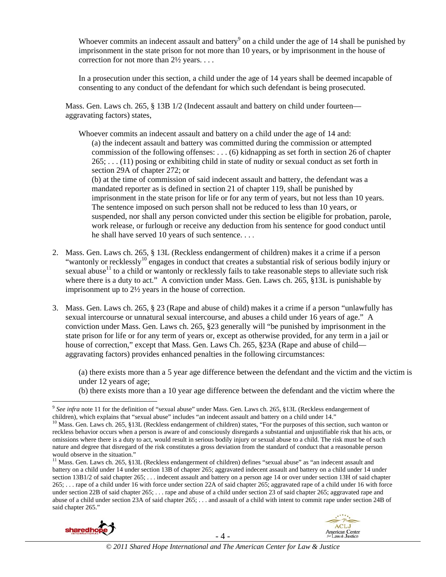Whoever commits an indecent assault and battery<sup>9</sup> on a child under the age of 14 shall be punished by imprisonment in the state prison for not more than 10 years, or by imprisonment in the house of correction for not more than 2½ years. . . .

In a prosecution under this section, a child under the age of 14 years shall be deemed incapable of consenting to any conduct of the defendant for which such defendant is being prosecuted.

Mass. Gen. Laws ch. 265, § 13B 1/2 (Indecent assault and battery on child under fourteen aggravating factors) states,

Whoever commits an indecent assault and battery on a child under the age of 14 and: (a) the indecent assault and battery was committed during the commission or attempted commission of the following offenses: . . . (6) kidnapping as set forth in section 26 of chapter 265; . . . (11) posing or exhibiting child in state of nudity or sexual conduct as set forth in section 29A of chapter 272; or

(b) at the time of commission of said indecent assault and battery, the defendant was a mandated reporter as is defined in section 21 of chapter 119, shall be punished by imprisonment in the state prison for life or for any term of years, but not less than 10 years. The sentence imposed on such person shall not be reduced to less than 10 years, or suspended, nor shall any person convicted under this section be eligible for probation, parole, work release, or furlough or receive any deduction from his sentence for good conduct until he shall have served 10 years of such sentence. . . .

- 2. Mass. Gen. Laws ch. 265, § 13L (Reckless endangerment of children) makes it a crime if a person "wantonly or recklessly<sup>10</sup> engages in conduct that creates a substantial risk of serious bodily injury or sexual abuse<sup>11</sup> to a child or wantonly or recklessly fails to take reasonable steps to alleviate such risk where there is a duty to act." A conviction under Mass. Gen. Laws ch. 265, §13L is punishable by imprisonment up to 2½ years in the house of correction.
- 3. Mass. Gen. Laws ch. 265, § 23 (Rape and abuse of child) makes it a crime if a person "unlawfully has sexual intercourse or unnatural sexual intercourse, and abuses a child under 16 years of age." A conviction under Mass. Gen. Laws ch. 265, §23 generally will "be punished by imprisonment in the state prison for life or for any term of years or, except as otherwise provided, for any term in a jail or house of correction," except that Mass. Gen. Laws Ch. 265, §23A (Rape and abuse of child aggravating factors) provides enhanced penalties in the following circumstances:

(a) there exists more than a 5 year age difference between the defendant and the victim and the victim is under 12 years of age;

(b) there exists more than a 10 year age difference between the defendant and the victim where the

<sup>&</sup>lt;sup>11</sup> Mass. Gen. Laws ch. 265, §13L (Reckless endangerment of children) defines "sexual abuse" as "an indecent assault and battery on a child under 14 under section 13B of chapter 265; aggravated indecent assault and battery on a child under 14 under section 13B1/2 of said chapter 265; . . . indecent assault and battery on a person age 14 or over under section 13H of said chapter 265; . . . rape of a child under 16 with force under section 22A of said chapter 265; aggravated rape of a child under 16 with force under section 22B of said chapter 265; . . . rape and abuse of a child under section 23 of said chapter 265; aggravated rape and abuse of a child under section 23A of said chapter 265; . . . and assault of a child with intent to commit rape under section 24B of said chapter 265."





<sup>&</sup>lt;sup>9</sup> See infra note 11 for the definition of "sexual abuse" under Mass. Gen. Laws ch. 265, §13L (Reckless endangerment of children), which explains that "sexual abuse" includes "an indecent assault and battery on a child un

<sup>&</sup>lt;sup>10</sup> Mass. Gen. Laws ch. 265, §13L (Reckless endangerment of children) states, "For the purposes of this section, such wanton or reckless behavior occurs when a person is aware of and consciously disregards a substantial and unjustifiable risk that his acts, or omissions where there is a duty to act, would result in serious bodily injury or sexual abuse to a child. The risk must be of such nature and degree that disregard of the risk constitutes a gross deviation from the standard of conduct that a reasonable person would observe in the situation."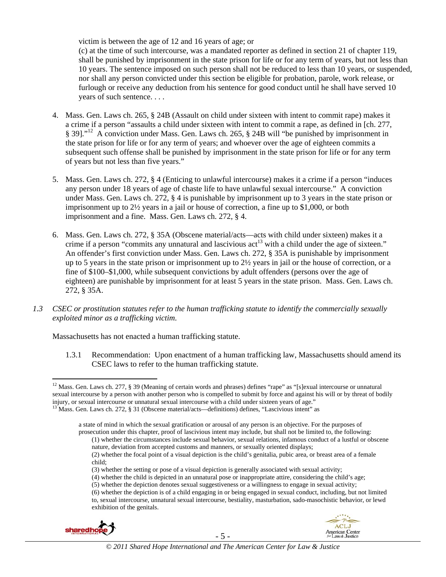victim is between the age of 12 and 16 years of age; or

(c) at the time of such intercourse, was a mandated reporter as defined in section 21 of chapter 119, shall be punished by imprisonment in the state prison for life or for any term of years, but not less than 10 years. The sentence imposed on such person shall not be reduced to less than 10 years, or suspended, nor shall any person convicted under this section be eligible for probation, parole, work release, or furlough or receive any deduction from his sentence for good conduct until he shall have served 10 years of such sentence. . . .

- 4. Mass. Gen. Laws ch. 265, § 24B (Assault on child under sixteen with intent to commit rape) makes it a crime if a person "assaults a child under sixteen with intent to commit a rape, as defined in [ch. 277, § 39]."12 A conviction under Mass. Gen. Laws ch. 265, § 24B will "be punished by imprisonment in the state prison for life or for any term of years; and whoever over the age of eighteen commits a subsequent such offense shall be punished by imprisonment in the state prison for life or for any term of years but not less than five years."
- 5. Mass. Gen. Laws ch. 272, § 4 (Enticing to unlawful intercourse) makes it a crime if a person "induces any person under 18 years of age of chaste life to have unlawful sexual intercourse." A conviction under Mass. Gen. Laws ch. 272, § 4 is punishable by imprisonment up to 3 years in the state prison or imprisonment up to  $2\frac{1}{2}$  years in a jail or house of correction, a fine up to \$1,000, or both imprisonment and a fine. Mass. Gen. Laws ch. 272, § 4.
- 6. Mass. Gen. Laws ch. 272, § 35A (Obscene material/acts—acts with child under sixteen) makes it a crime if a person "commits any unnatural and lascivious  $\text{act}^{13}$  with a child under the age of sixteen." An offender's first conviction under Mass. Gen. Laws ch. 272, § 35A is punishable by imprisonment up to 5 years in the state prison or imprisonment up to 2½ years in jail or the house of correction, or a fine of \$100–\$1,000, while subsequent convictions by adult offenders (persons over the age of eighteen) are punishable by imprisonment for at least 5 years in the state prison. Mass. Gen. Laws ch. 272, § 35A.
- *1.3 CSEC or prostitution statutes refer to the human trafficking statute to identify the commercially sexually exploited minor as a trafficking victim.*

Massachusetts has not enacted a human trafficking statute.

1.3.1 Recommendation: Upon enactment of a human trafficking law, Massachusetts should amend its CSEC laws to refer to the human trafficking statute.

<sup>(6)</sup> whether the depiction is of a child engaging in or being engaged in sexual conduct, including, but not limited to, sexual intercourse, unnatural sexual intercourse, bestiality, masturbation, sado-masochistic behavior, or lewd exhibition of the genitals.





<sup>&</sup>lt;sup>12</sup> Mass. Gen. Laws ch. 277, § 39 (Meaning of certain words and phrases) defines "rape" as "[s]exual intercourse or unnatural sexual intercourse by a person with another person who is compelled to submit by force and against his will or by threat of bodily injury, or sexual intercourse or unnatural sexual intercourse with a child under sixteen years of age." 13 Mass. Gen. Laws ch. 272, § 31 (Obscene material/acts—definitions) defines, "Lascivious intent" as

a state of mind in which the sexual gratification or arousal of any person is an objective. For the purposes of prosecution under this chapter, proof of lascivious intent may include, but shall not be limited to, the following:

<sup>(1)</sup> whether the circumstances include sexual behavior, sexual relations, infamous conduct of a lustful or obscene nature, deviation from accepted customs and manners, or sexually oriented displays;

<sup>(2)</sup> whether the focal point of a visual depiction is the child's genitalia, pubic area, or breast area of a female child;

<sup>(3)</sup> whether the setting or pose of a visual depiction is generally associated with sexual activity;

<sup>(4)</sup> whether the child is depicted in an unnatural pose or inappropriate attire, considering the child's age;

<sup>(5)</sup> whether the depiction denotes sexual suggestiveness or a willingness to engage in sexual activity;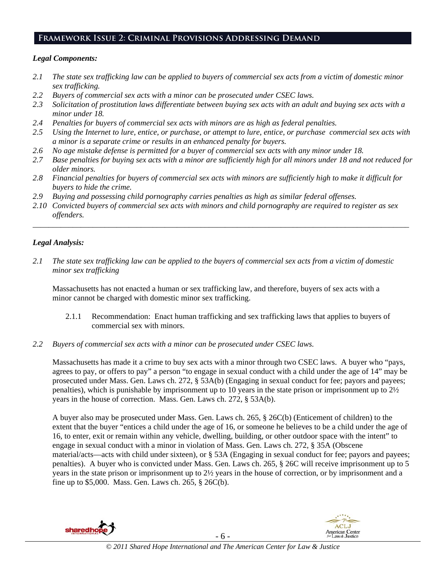# **Framework Issue 2: Criminal Provisions Addressing Demand**

#### *Legal Components:*

- *2.1 The state sex trafficking law can be applied to buyers of commercial sex acts from a victim of domestic minor sex trafficking.*
- *2.2 Buyers of commercial sex acts with a minor can be prosecuted under CSEC laws.*
- *2.3 Solicitation of prostitution laws differentiate between buying sex acts with an adult and buying sex acts with a minor under 18.*
- *2.4 Penalties for buyers of commercial sex acts with minors are as high as federal penalties.*
- *2.5 Using the Internet to lure, entice, or purchase, or attempt to lure, entice, or purchase commercial sex acts with a minor is a separate crime or results in an enhanced penalty for buyers.*
- *2.6 No age mistake defense is permitted for a buyer of commercial sex acts with any minor under 18.*
- *2.7 Base penalties for buying sex acts with a minor are sufficiently high for all minors under 18 and not reduced for older minors.*
- *2.8 Financial penalties for buyers of commercial sex acts with minors are sufficiently high to make it difficult for buyers to hide the crime.*
- *2.9 Buying and possessing child pornography carries penalties as high as similar federal offenses.*
- *2.10 Convicted buyers of commercial sex acts with minors and child pornography are required to register as sex offenders.*

\_\_\_\_\_\_\_\_\_\_\_\_\_\_\_\_\_\_\_\_\_\_\_\_\_\_\_\_\_\_\_\_\_\_\_\_\_\_\_\_\_\_\_\_\_\_\_\_\_\_\_\_\_\_\_\_\_\_\_\_\_\_\_\_\_\_\_\_\_\_\_\_\_\_\_\_\_\_\_\_\_\_\_\_\_\_\_\_\_\_\_\_\_\_

# *Legal Analysis:*

*2.1 The state sex trafficking law can be applied to the buyers of commercial sex acts from a victim of domestic minor sex trafficking*

Massachusetts has not enacted a human or sex trafficking law, and therefore, buyers of sex acts with a minor cannot be charged with domestic minor sex trafficking.

- 2.1.1 Recommendation: Enact human trafficking and sex trafficking laws that applies to buyers of commercial sex with minors.
- *2.2 Buyers of commercial sex acts with a minor can be prosecuted under CSEC laws.*

Massachusetts has made it a crime to buy sex acts with a minor through two CSEC laws. A buyer who "pays, agrees to pay, or offers to pay" a person "to engage in sexual conduct with a child under the age of 14" may be prosecuted under Mass. Gen. Laws ch. 272, § 53A(b) (Engaging in sexual conduct for fee; payors and payees; penalties), which is punishable by imprisonment up to 10 years in the state prison or imprisonment up to 2½ years in the house of correction. Mass. Gen. Laws ch. 272, § 53A(b).

A buyer also may be prosecuted under Mass. Gen. Laws ch. 265, § 26C(b) (Enticement of children) to the extent that the buyer "entices a child under the age of 16, or someone he believes to be a child under the age of 16, to enter, exit or remain within any vehicle, dwelling, building, or other outdoor space with the intent" to engage in sexual conduct with a minor in violation of Mass. Gen. Laws ch. 272, § 35A (Obscene material/acts—acts with child under sixteen), or § 53A (Engaging in sexual conduct for fee; payors and payees; penalties). A buyer who is convicted under Mass. Gen. Laws ch. 265, § 26C will receive imprisonment up to 5 years in the state prison or imprisonment up to 2½ years in the house of correction, or by imprisonment and a fine up to \$5,000. Mass. Gen. Laws ch. 265, § 26C(b).

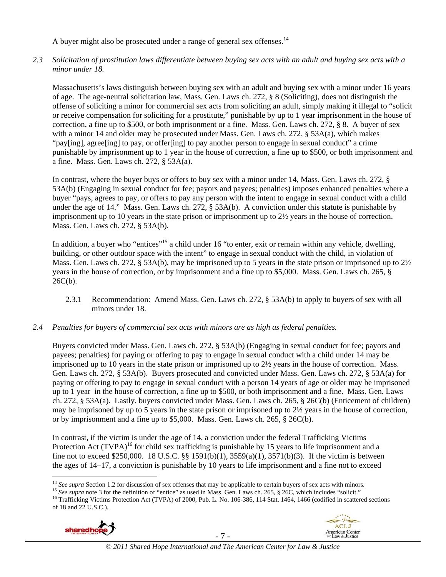A buyer might also be prosecuted under a range of general sex offenses.<sup>14</sup>

*2.3 Solicitation of prostitution laws differentiate between buying sex acts with an adult and buying sex acts with a minor under 18.* 

Massachusetts's laws distinguish between buying sex with an adult and buying sex with a minor under 16 years of age. The age-neutral solicitation law, Mass. Gen. Laws ch. 272, § 8 (Soliciting), does not distinguish the offense of soliciting a minor for commercial sex acts from soliciting an adult, simply making it illegal to "solicit or receive compensation for soliciting for a prostitute," punishable by up to 1 year imprisonment in the house of correction, a fine up to \$500, or both imprisonment or a fine. Mass. Gen. Laws ch. 272, § 8. A buyer of sex with a minor 14 and older may be prosecuted under Mass. Gen. Laws ch. 272, § 53A(a), which makes "pay[ing], agree[ing] to pay, or offer[ing] to pay another person to engage in sexual conduct" a crime punishable by imprisonment up to 1 year in the house of correction, a fine up to \$500, or both imprisonment and a fine. Mass. Gen. Laws ch. 272, § 53A(a).

In contrast, where the buyer buys or offers to buy sex with a minor under 14, Mass. Gen. Laws ch. 272, § 53A(b) (Engaging in sexual conduct for fee; payors and payees; penalties) imposes enhanced penalties where a buyer "pays, agrees to pay, or offers to pay any person with the intent to engage in sexual conduct with a child under the age of 14." Mass. Gen. Laws ch. 272, § 53A(b). A conviction under this statute is punishable by imprisonment up to 10 years in the state prison or imprisonment up to 2½ years in the house of correction. Mass. Gen. Laws ch. 272, § 53A(b).

In addition, a buyer who "entices"<sup>15</sup> a child under 16 "to enter, exit or remain within any vehicle, dwelling, building, or other outdoor space with the intent" to engage in sexual conduct with the child, in violation of Mass. Gen. Laws ch. 272, § 53A(b), may be imprisoned up to 5 years in the state prison or imprisoned up to 2½ years in the house of correction, or by imprisonment and a fine up to \$5,000. Mass. Gen. Laws ch. 265, §  $26C(b)$ .

- 2.3.1 Recommendation: Amend Mass. Gen. Laws ch. 272, § 53A(b) to apply to buyers of sex with all minors under 18.
- *2.4 Penalties for buyers of commercial sex acts with minors are as high as federal penalties.*

Buyers convicted under Mass. Gen. Laws ch. 272, § 53A(b) (Engaging in sexual conduct for fee; payors and payees; penalties) for paying or offering to pay to engage in sexual conduct with a child under 14 may be imprisoned up to 10 years in the state prison or imprisoned up to 2½ years in the house of correction. Mass. Gen. Laws ch. 272, § 53A(b). Buyers prosecuted and convicted under Mass. Gen. Laws ch. 272, § 53A(a) for paying or offering to pay to engage in sexual conduct with a person 14 years of age or older may be imprisoned up to 1 year in the house of correction, a fine up to \$500, or both imprisonment and a fine. Mass. Gen. Laws ch. 272, § 53A(a). Lastly, buyers convicted under Mass. Gen. Laws ch. 265, § 26C(b) (Enticement of children) may be imprisoned by up to 5 years in the state prison or imprisoned up to 2½ years in the house of correction, or by imprisonment and a fine up to \$5,000. Mass. Gen. Laws ch. 265, § 26C(b).

In contrast, if the victim is under the age of 14, a conviction under the federal Trafficking Victims Protection Act (TVPA)<sup>16</sup> for child sex trafficking is punishable by 15 years to life imprisonment and a fine not to exceed \$250,000. 18 U.S.C. §§ 1591(b)(1), 3559(a)(1), 3571(b)(3). If the victim is between the ages of 14–17, a conviction is punishable by 10 years to life imprisonment and a fine not to exceed

<sup>&</sup>lt;sup>15</sup> See supra note 3 for the definition of "entice" as used in Mass. Gen. Laws ch. 265,  $\S$  26C, which includes "solicit."<br><sup>16</sup> Trafficking Victims Protection Act (TVPA) of 2000, Pub. L. No. 106-386, 114 Stat. 1464, 1466 of 18 and 22 U.S.C.).





<sup>&</sup>lt;sup>14</sup> See supra Section 1.2 for discussion of sex offenses that may be applicable to certain buyers of sex acts with minors.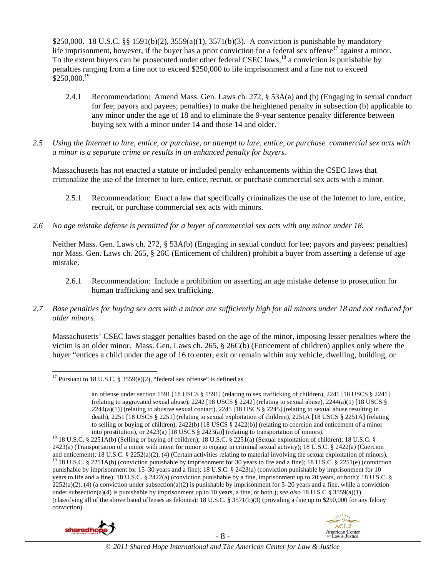\$250,000. 18 U.S.C. §§ 1591(b)(2), 3559(a)(1), 3571(b)(3). A conviction is punishable by mandatory life imprisonment, however, if the buyer has a prior conviction for a federal sex offense<sup>17</sup> against a minor. To the extent buyers can be prosecuted under other federal CSEC laws,<sup>18</sup> a conviction is punishable by penalties ranging from a fine not to exceed \$250,000 to life imprisonment and a fine not to exceed  $$250,000.<sup>19</sup>$ 

- 2.4.1 Recommendation: Amend Mass. Gen. Laws ch. 272, § 53A(a) and (b) (Engaging in sexual conduct for fee; payors and payees; penalties) to make the heightened penalty in subsection (b) applicable to any minor under the age of 18 and to eliminate the 9-year sentence penalty difference between buying sex with a minor under 14 and those 14 and older.
- *2.5 Using the Internet to lure, entice, or purchase, or attempt to lure, entice, or purchase commercial sex acts with a minor is a separate crime or results in an enhanced penalty for buyers.*

Massachusetts has not enacted a statute or included penalty enhancements within the CSEC laws that criminalize the use of the Internet to lure, entice, recruit, or purchase commercial sex acts with a minor.

- 2.5.1 Recommendation: Enact a law that specifically criminalizes the use of the Internet to lure, entice, recruit, or purchase commercial sex acts with minors.
- *2.6 No age mistake defense is permitted for a buyer of commercial sex acts with any minor under 18.*

Neither Mass. Gen. Laws ch. 272, § 53A(b) (Engaging in sexual conduct for fee; payors and payees; penalties) nor Mass. Gen. Laws ch. 265, § 26C (Enticement of children) prohibit a buyer from asserting a defense of age mistake.

- 2.6.1 Recommendation: Include a prohibition on asserting an age mistake defense to prosecution for human trafficking and sex trafficking.
- *2.7 Base penalties for buying sex acts with a minor are sufficiently high for all minors under 18 and not reduced for older minors.*

Massachusetts' CSEC laws stagger penalties based on the age of the minor, imposing lesser penalties where the victim is an older minor. Mass. Gen. Laws ch. 265, § 26C(b) (Enticement of children) applies only where the buyer "entices a child under the age of 16 to enter, exit or remain within any vehicle, dwelling, building, or

<sup>&</sup>lt;sup>18</sup> 18 U.S.C. § 2251A(b) (Selling or buying of children); 18 U.S.C. § 2251(a) (Sexual exploitation of children); 18 U.S.C. § 2423(a) (Transportation of a minor with intent for minor to engage in criminal sexual activity); 18 U.S.C. § 2422(a) (Coercion and enticement); 18 U.S.C. § 2252(a)(2), (4) (Certain activities relating to material involving the sexual exploitation of minors).<br><sup>19</sup> 18 U.S.C. § 2251A(b) (conviction punishable by imprisonment for 30 years to life and punishable by imprisonment for 15–30 years and a fine); 18 U.S.C. § 2423(a) (conviction punishable by imprisonment for 10 years to life and a fine); 18 U.S.C. § 2422(a) (conviction punishable by a fine, imprisonment up to 20 years, or both); 18 U.S.C. §  $2252(a)(2)$ , (4) (a conviction under subsection(a)(2) is punishable by imprisonment for 5–20 years and a fine, while a conviction under subsection(a)(4) is punishable by imprisonment up to 10 years, a fine, or both.); *see also* 18 U.S.C § 3559(a)(1) (classifying all of the above listed offenses as felonies); 18 U.S.C. § 3571(b)(3) (providing a fine up to \$250,000 for any felony conviction).





*© 2011 Shared Hope International and The American Center for Law & Justice*

 $\overline{a}$ <sup>17</sup> Pursuant to 18 U.S.C. § 3559(e)(2), "federal sex offense" is defined as

an offense under section 1591 [18 USCS § 1591] (relating to sex trafficking of children), 2241 [18 USCS § 2241] (relating to aggravated sexual abuse),  $2242$  [18 USCS § 2242] (relating to sexual abuse),  $2244(a)(1)$  [18 USCS § 2244(a)(1)] (relating to abusive sexual contact), 2245 [18 USCS § 2245] (relating to sexual abuse resulting in death), 2251 [18 USCS § 2251] (relating to sexual exploitation of children), 2251A [18 USCS § 2251A] (relating to selling or buying of children),  $2422(b)$  [18 USCS § 2422(b)] (relating to coercion and enticement of a minor into prostitution), or  $2423(a)$  [18 USCS § 2423(a)] (relating to transportation of minors).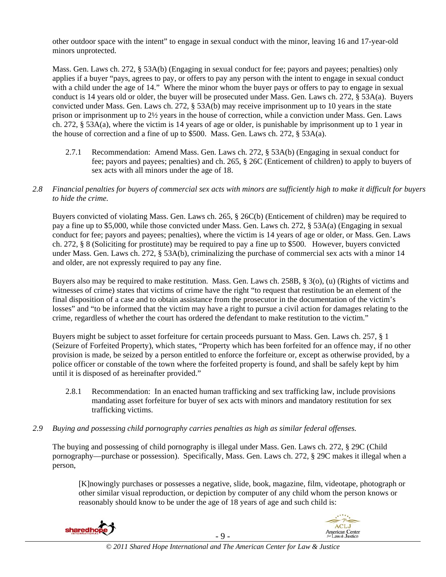other outdoor space with the intent" to engage in sexual conduct with the minor, leaving 16 and 17-year-old minors unprotected.

Mass. Gen. Laws ch. 272, § 53A(b) (Engaging in sexual conduct for fee; payors and payees; penalties) only applies if a buyer "pays, agrees to pay, or offers to pay any person with the intent to engage in sexual conduct with a child under the age of 14." Where the minor whom the buyer pays or offers to pay to engage in sexual conduct is 14 years old or older, the buyer will be prosecuted under Mass. Gen. Laws ch. 272, § 53A(a). Buyers convicted under Mass. Gen. Laws ch. 272, § 53A(b) may receive imprisonment up to 10 years in the state prison or imprisonment up to 2½ years in the house of correction, while a conviction under Mass. Gen. Laws ch. 272, § 53A(a), where the victim is 14 years of age or older, is punishable by imprisonment up to 1 year in the house of correction and a fine of up to \$500. Mass. Gen. Laws ch. 272, § 53A(a).

- 2.7.1 Recommendation: Amend Mass. Gen. Laws ch. 272, § 53A(b) (Engaging in sexual conduct for fee; payors and payees; penalties) and ch. 265, § 26C (Enticement of children) to apply to buyers of sex acts with all minors under the age of 18.
- *2.8 Financial penalties for buyers of commercial sex acts with minors are sufficiently high to make it difficult for buyers to hide the crime.*

Buyers convicted of violating Mass. Gen. Laws ch. 265, § 26C(b) (Enticement of children) may be required to pay a fine up to \$5,000, while those convicted under Mass. Gen. Laws ch. 272, § 53A(a) (Engaging in sexual conduct for fee; payors and payees; penalties), where the victim is 14 years of age or older, or Mass. Gen. Laws ch. 272, § 8 (Soliciting for prostitute) may be required to pay a fine up to \$500. However, buyers convicted under Mass. Gen. Laws ch. 272, § 53A(b), criminalizing the purchase of commercial sex acts with a minor 14 and older, are not expressly required to pay any fine.

Buyers also may be required to make restitution. Mass. Gen. Laws ch. 258B, § 3(o), (u) (Rights of victims and witnesses of crime) states that victims of crime have the right "to request that restitution be an element of the final disposition of a case and to obtain assistance from the prosecutor in the documentation of the victim's losses" and "to be informed that the victim may have a right to pursue a civil action for damages relating to the crime, regardless of whether the court has ordered the defendant to make restitution to the victim."

Buyers might be subject to asset forfeiture for certain proceeds pursuant to Mass. Gen. Laws ch. 257, § 1 (Seizure of Forfeited Property), which states, "Property which has been forfeited for an offence may, if no other provision is made, be seized by a person entitled to enforce the forfeiture or, except as otherwise provided, by a police officer or constable of the town where the forfeited property is found, and shall be safely kept by him until it is disposed of as hereinafter provided."

- 2.8.1 Recommendation: In an enacted human trafficking and sex trafficking law, include provisions mandating asset forfeiture for buyer of sex acts with minors and mandatory restitution for sex trafficking victims.
- *2.9 Buying and possessing child pornography carries penalties as high as similar federal offenses.*

The buying and possessing of child pornography is illegal under Mass. Gen. Laws ch. 272, § 29C (Child pornography—purchase or possession). Specifically, Mass. Gen. Laws ch. 272, § 29C makes it illegal when a person,

[K]nowingly purchases or possesses a negative, slide, book, magazine, film, videotape, photograph or other similar visual reproduction, or depiction by computer of any child whom the person knows or reasonably should know to be under the age of 18 years of age and such child is:



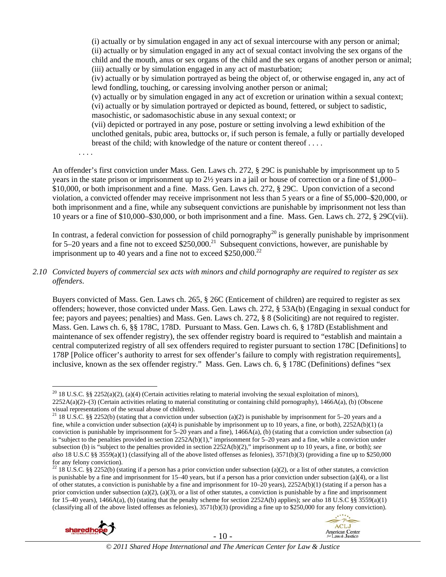(i) actually or by simulation engaged in any act of sexual intercourse with any person or animal; (ii) actually or by simulation engaged in any act of sexual contact involving the sex organs of the child and the mouth, anus or sex organs of the child and the sex organs of another person or animal; (iii) actually or by simulation engaged in any act of masturbation;

(iv) actually or by simulation portrayed as being the object of, or otherwise engaged in, any act of lewd fondling, touching, or caressing involving another person or animal;

(v) actually or by simulation engaged in any act of excretion or urination within a sexual context; (vi) actually or by simulation portrayed or depicted as bound, fettered, or subject to sadistic, masochistic, or sadomasochistic abuse in any sexual context; or

(vii) depicted or portrayed in any pose, posture or setting involving a lewd exhibition of the unclothed genitals, pubic area, buttocks or, if such person is female, a fully or partially developed breast of the child; with knowledge of the nature or content thereof . . . .

. . . .

An offender's first conviction under Mass. Gen. Laws ch. 272, § 29C is punishable by imprisonment up to 5 years in the state prison or imprisonment up to 2½ years in a jail or house of correction or a fine of \$1,000– \$10,000, or both imprisonment and a fine. Mass. Gen. Laws ch. 272, § 29C. Upon conviction of a second violation, a convicted offender may receive imprisonment not less than 5 years or a fine of \$5,000–\$20,000, or both imprisonment and a fine, while any subsequent convictions are punishable by imprisonment not less than 10 years or a fine of \$10,000–\$30,000, or both imprisonment and a fine. Mass. Gen. Laws ch. 272, § 29C(vii).

In contrast, a federal conviction for possession of child pornography<sup>20</sup> is generally punishable by imprisonment for  $5-20$  years and a fine not to exceed \$250,000.<sup>21</sup> Subsequent convictions, however, are punishable by imprisonment up to 40 years and a fine not to exceed  $$250,000.<sup>22</sup>$ 

*2.10 Convicted buyers of commercial sex acts with minors and child pornography are required to register as sex offenders*.

Buyers convicted of Mass. Gen. Laws ch. 265, § 26C (Enticement of children) are required to register as sex offenders; however, those convicted under Mass. Gen. Laws ch. 272, § 53A(b) (Engaging in sexual conduct for fee; payors and payees; penalties) and Mass. Gen. Laws ch. 272, § 8 (Soliciting) are not required to register. Mass. Gen. Laws ch. 6, §§ 178C, 178D. Pursuant to Mass. Gen. Laws ch. 6, § 178D (Establishment and maintenance of sex offender registry), the sex offender registry board is required to "establish and maintain a central computerized registry of all sex offenders required to register pursuant to section 178C [Definitions] to 178P [Police officer's authority to arrest for sex offender's failure to comply with registration requirements], inclusive, known as the sex offender registry." Mass. Gen. Laws ch. 6, § 178C (Definitions) defines "sex

<sup>&</sup>lt;sup>22</sup> 18 U.S.C. §§ 2252(b) (stating if a person has a prior conviction under subsection (a)(2), or a list of other statutes, a conviction is punishable by a fine and imprisonment for 15–40 years, but if a person has a prior conviction under subsection (a)(4), or a list of other statutes, a conviction is punishable by a fine and imprisonment for  $10-20$  years),  $2252A(b)(1)$  (stating if a person has a prior conviction under subsection (a)(2), (a)(3), or a list of other statutes, a conviction is punishable by a fine and imprisonment for 15–40 years), 1466A(a), (b) (stating that the penalty scheme for section 2252A(b) applies); *see also* 18 U.S.C §§ 3559(a)(1) (classifying all of the above listed offenses as felonies), 3571(b)(3) (providing a fine up to \$250,000 for any felony conviction).





 $\overline{a}$ <sup>20</sup> 18 U.S.C. §§ 2252(a)(2), (a)(4) (Certain activities relating to material involving the sexual exploitation of minors), 2252A(a)(2)–(3) (Certain activities relating to material constituting or containing child pornography), 1466A(a), (b) (Obscene visual representations of the sexual abuse of children).

<sup>&</sup>lt;sup>21</sup> 18 U.S.C. §§ 2252(b) (stating that a conviction under subsection (a)(2) is punishable by imprisonment for 5–20 years and a fine, while a conviction under subsection (a)(4) is punishable by imprisonment up to 10 years, a fine, or both),  $2252A(b)(1)$  (a conviction is punishable by imprisonment for  $5-20$  years and a fine),  $1466A(a)$ , (b) (stating that a conviction under subsection (a) is "subject to the penalties provided in section 2252A(b)(1)," imprisonment for 5–20 years and a fine, while a conviction under subsection (b) is "subject to the penalties provided in section 2252A(b)(2)," imprisonment up to 10 years, a fine, or both); *see also* 18 U.S.C §§ 3559(a)(1) (classifying all of the above listed offenses as felonies), 3571(b)(3) (providing a fine up to \$250,000 for any felony conviction).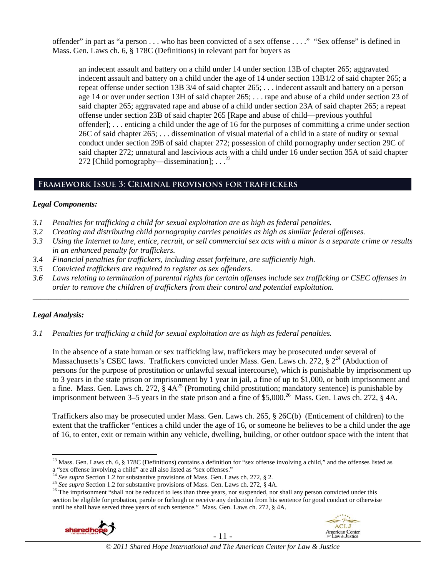offender" in part as "a person . . . who has been convicted of a sex offense . . . ." "Sex offense" is defined in Mass. Gen. Laws ch. 6, § 178C (Definitions) in relevant part for buyers as

an indecent assault and battery on a child under 14 under section 13B of chapter 265; aggravated indecent assault and battery on a child under the age of 14 under section 13B1/2 of said chapter 265; a repeat offense under section 13B 3/4 of said chapter 265; . . . indecent assault and battery on a person age 14 or over under section 13H of said chapter 265; . . . rape and abuse of a child under section 23 of said chapter 265; aggravated rape and abuse of a child under section 23A of said chapter 265; a repeat offense under section 23B of said chapter 265 [Rape and abuse of child—previous youthful offender]; . . . enticing a child under the age of 16 for the purposes of committing a crime under section 26C of said chapter 265; . . . dissemination of visual material of a child in a state of nudity or sexual conduct under section 29B of said chapter 272; possession of child pornography under section 29C of said chapter 272; unnatural and lascivious acts with a child under 16 under section 35A of said chapter 272 [Child pornography—dissemination];  $\ldots$ <sup>23</sup>

# **Framework Issue 3: Criminal provisions for traffickers**

#### *Legal Components:*

- *3.1 Penalties for trafficking a child for sexual exploitation are as high as federal penalties.*
- *3.2 Creating and distributing child pornography carries penalties as high as similar federal offenses.*
- *3.3 Using the Internet to lure, entice, recruit, or sell commercial sex acts with a minor is a separate crime or results in an enhanced penalty for traffickers.*
- *3.4 Financial penalties for traffickers, including asset forfeiture, are sufficiently high.*
- *3.5 Convicted traffickers are required to register as sex offenders.*
- *3.6 Laws relating to termination of parental rights for certain offenses include sex trafficking or CSEC offenses in order to remove the children of traffickers from their control and potential exploitation. \_\_\_\_\_\_\_\_\_\_\_\_\_\_\_\_\_\_\_\_\_\_\_\_\_\_\_\_\_\_\_\_\_\_\_\_\_\_\_\_\_\_\_\_\_\_\_\_\_\_\_\_\_\_\_\_\_\_\_\_\_\_\_\_\_\_\_\_\_\_\_\_\_\_\_\_\_\_\_\_\_\_\_\_\_\_\_\_\_\_\_\_\_\_*

# *Legal Analysis:*

*3.1 Penalties for trafficking a child for sexual exploitation are as high as federal penalties.* 

In the absence of a state human or sex trafficking law, traffickers may be prosecuted under several of Massachusetts's CSEC laws. Traffickers convicted under Mass. Gen. Laws ch. 272, §  $2^{24}$  (Abduction of persons for the purpose of prostitution or unlawful sexual intercourse), which is punishable by imprisonment up to 3 years in the state prison or imprisonment by 1 year in jail, a fine of up to \$1,000, or both imprisonment and a fine. Mass. Gen. Laws ch. 272,  $\frac{8}{9}$  4A<sup>25</sup> (Promoting child prostitution; mandatory sentence) is punishable by imprisonment between 3–5 years in the state prison and a fine of \$5,000.<sup>26</sup> Mass. Gen. Laws ch. 272, § 4A.

Traffickers also may be prosecuted under Mass. Gen. Laws ch. 265, § 26C(b) (Enticement of children) to the extent that the trafficker "entices a child under the age of 16, or someone he believes to be a child under the age of 16, to enter, exit or remain within any vehicle, dwelling, building, or other outdoor space with the intent that

<sup>&</sup>lt;sup>25</sup> See supra Section 1.2 for substantive provisions of Mass. Gen. Laws ch. 272, § 4A.<br><sup>26</sup> The imprisonment "shall not be reduced to less than three years, nor suspended, nor shall any person convicted under this section be eligible for probation, parole or furlough or receive any deduction from his sentence for good conduct or otherwise until he shall have served three years of such sentence." Mass. Gen. Laws ch. 272, § 4A.





 $\overline{a}$ <sup>23</sup> Mass. Gen. Laws ch. 6, § 178C (Definitions) contains a definition for "sex offense involving a child," and the offenses listed as a "sex offense involving a child" are all also listed as "sex offenses."<br><sup>24</sup> See supra Section 1.2 for substantive provisions of Mass. Gen. Laws ch. 272, § 2.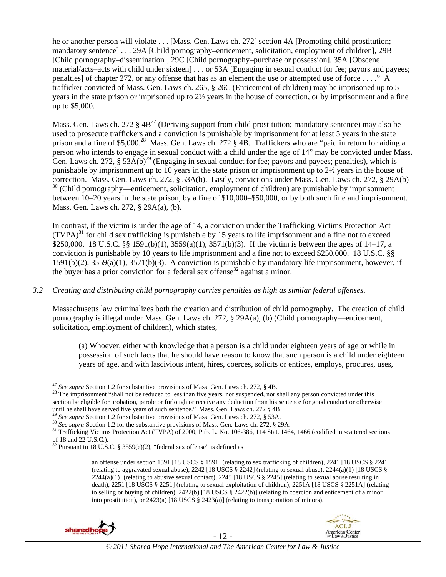he or another person will violate . . . [Mass. Gen. Laws ch. 272] section 4A [Promoting child prostitution; mandatory sentence] . . . 29A [Child pornography–enticement, solicitation, employment of children], 29B [Child pornography–dissemination], 29C [Child pornography–purchase or possession], 35A [Obscene material/acts–acts with child under sixteen] . . . or 53A [Engaging in sexual conduct for fee; payors and payees; penalties] of chapter 272, or any offense that has as an element the use or attempted use of force . . . ." A trafficker convicted of Mass. Gen. Laws ch. 265, § 26C (Enticement of children) may be imprisoned up to 5 years in the state prison or imprisoned up to 2½ years in the house of correction, or by imprisonment and a fine up to \$5,000.

Mass. Gen. Laws ch. 272  $\S 4B^{27}$  (Deriving support from child prostitution; mandatory sentence) may also be used to prosecute traffickers and a conviction is punishable by imprisonment for at least 5 years in the state prison and a fine of \$5,000.<sup>28</sup> Mass. Gen. Laws ch. 272 § 4B. Traffickers who are "paid in return for aiding a person who intends to engage in sexual conduct with a child under the age of 14" may be convicted under Mass. Gen. Laws ch. 272,  $\S$  53A(b)<sup>29</sup> (Engaging in sexual conduct for fee; payors and payees; penalties), which is punishable by imprisonment up to 10 years in the state prison or imprisonment up to 2½ years in the house of correction. Mass. Gen. Laws ch. 272, § 53A(b). Lastly, convictions under Mass. Gen. Laws ch. 272, § 29A(b) <sup>30</sup> (Child pornography—enticement, solicitation, employment of children) are punishable by imprisonment between 10–20 years in the state prison, by a fine of \$10,000–\$50,000, or by both such fine and imprisonment. Mass. Gen. Laws ch. 272, § 29A(a), (b).

In contrast, if the victim is under the age of 14, a conviction under the Trafficking Victims Protection Act  $(TVPA)<sup>31</sup>$  for child sex trafficking is punishable by 15 years to life imprisonment and a fine not to exceed \$250,000. 18 U.S.C. §§ 1591(b)(1), 3559(a)(1), 3571(b)(3). If the victim is between the ages of 14–17, a conviction is punishable by 10 years to life imprisonment and a fine not to exceed \$250,000. 18 U.S.C. §§ 1591(b)(2), 3559(a)(1), 3571(b)(3). A conviction is punishable by mandatory life imprisonment, however, if the buyer has a prior conviction for a federal sex offense<sup>32</sup> against a minor.

# *3.2 Creating and distributing child pornography carries penalties as high as similar federal offenses*.

Massachusetts law criminalizes both the creation and distribution of child pornography. The creation of child pornography is illegal under Mass. Gen. Laws ch. 272, § 29A(a), (b) (Child pornography—enticement, solicitation, employment of children), which states,

(a) Whoever, either with knowledge that a person is a child under eighteen years of age or while in possession of such facts that he should have reason to know that such person is a child under eighteen years of age, and with lascivious intent, hires, coerces, solicits or entices, employs, procures, uses,

an offense under section 1591 [18 USCS § 1591] (relating to sex trafficking of children), 2241 [18 USCS § 2241] (relating to aggravated sexual abuse),  $2242$  [18 USCS § 2242] (relating to sexual abuse),  $2244(a)(1)$  [18 USCS §  $2244(a)(1)$  (relating to abusive sexual contact),  $2245$  [18 USCS § 2245] (relating to sexual abuse resulting in death), 2251 [18 USCS § 2251] (relating to sexual exploitation of children), 2251A [18 USCS § 2251A] (relating to selling or buying of children), 2422(b) [18 USCS § 2422(b)] (relating to coercion and enticement of a minor into prostitution), or 2423(a) [18 USCS § 2423(a)] (relating to transportation of minors).







<sup>&</sup>lt;sup>27</sup> See supra Section 1.2 for substantive provisions of Mass. Gen. Laws ch. 272,  $\S$  4B.

<sup>&</sup>lt;sup>28</sup> The imprisonment "shall not be reduced to less than five years, nor suspended, nor shall any person convicted under this section be eligible for probation, parole or furlough or receive any deduction from his sentence for good conduct or otherwise

until he shall have served five years of such sentence." Mass. Gen. Laws ch. 272  $\S$  4B <sup>29</sup> See supra Section 1.2 for substantive provisions of Mass. Gen. Laws ch. 272,  $\S$  53A.

<sup>&</sup>lt;sup>30</sup> See supra Section 1.2 for the substantive provisions of Mass. Gen. Laws ch. 272, § 29A.<br><sup>31</sup> Trafficking Victims Protection Act (TVPA) of 2000, Pub. L. No. 106-386, 114 Stat. 1464, 1466 (codified in scattered section of 18 and 22 U.S.C.).

 $32$  Pursuant to 18 U.S.C. § 3559(e)(2), "federal sex offense" is defined as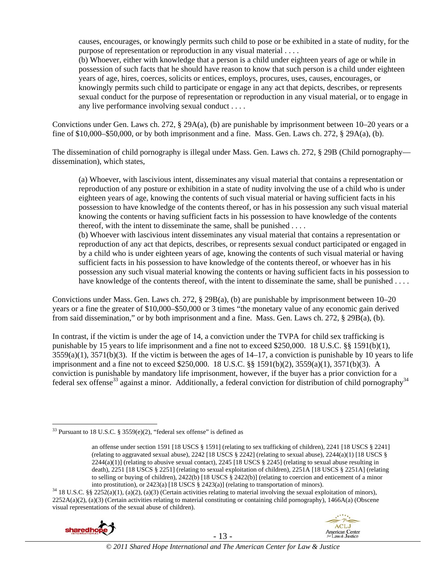causes, encourages, or knowingly permits such child to pose or be exhibited in a state of nudity, for the purpose of representation or reproduction in any visual material . . . .

(b) Whoever, either with knowledge that a person is a child under eighteen years of age or while in possession of such facts that he should have reason to know that such person is a child under eighteen years of age, hires, coerces, solicits or entices, employs, procures, uses, causes, encourages, or knowingly permits such child to participate or engage in any act that depicts, describes, or represents sexual conduct for the purpose of representation or reproduction in any visual material, or to engage in any live performance involving sexual conduct . . . .

Convictions under Gen. Laws ch. 272, § 29A(a), (b) are punishable by imprisonment between 10–20 years or a fine of \$10,000–\$50,000, or by both imprisonment and a fine. Mass. Gen. Laws ch. 272, § 29A(a), (b).

The dissemination of child pornography is illegal under Mass. Gen. Laws ch. 272, § 29B (Child pornography dissemination), which states,

(a) Whoever, with lascivious intent, disseminates any visual material that contains a representation or reproduction of any posture or exhibition in a state of nudity involving the use of a child who is under eighteen years of age, knowing the contents of such visual material or having sufficient facts in his possession to have knowledge of the contents thereof, or has in his possession any such visual material knowing the contents or having sufficient facts in his possession to have knowledge of the contents thereof, with the intent to disseminate the same, shall be punished  $\dots$ 

(b) Whoever with lascivious intent disseminates any visual material that contains a representation or reproduction of any act that depicts, describes, or represents sexual conduct participated or engaged in by a child who is under eighteen years of age, knowing the contents of such visual material or having sufficient facts in his possession to have knowledge of the contents thereof, or whoever has in his possession any such visual material knowing the contents or having sufficient facts in his possession to have knowledge of the contents thereof, with the intent to disseminate the same, shall be punished . . . .

Convictions under Mass. Gen. Laws ch. 272, § 29B(a), (b) are punishable by imprisonment between 10–20 years or a fine the greater of \$10,000–\$50,000 or 3 times "the monetary value of any economic gain derived from said dissemination," or by both imprisonment and a fine. Mass. Gen. Laws ch. 272, § 29B(a), (b).

In contrast, if the victim is under the age of 14, a conviction under the TVPA for child sex trafficking is punishable by 15 years to life imprisonment and a fine not to exceed \$250,000. 18 U.S.C. §§ 1591(b)(1),  $3559(a)(1)$ ,  $3571(b)(3)$ . If the victim is between the ages of  $14-17$ , a conviction is punishable by 10 years to life imprisonment and a fine not to exceed \$250,000. 18 U.S.C. §§ 1591(b)(2), 3559(a)(1), 3571(b)(3). A conviction is punishable by mandatory life imprisonment, however, if the buyer has a prior conviction for a federal sex offense<sup>33</sup> against a minor. Additionally, a federal conviction for distribution of child pornography<sup>34</sup>

into prostitution), or 2423(a) [18 USCS § 2423(a)] (relating to transportation of minors).<br><sup>34</sup> 18 U.S.C. §§ 2252(a)(1), (a)(2), (a)(3) (Certain activities relating to material involving the sexual exploitation of minors)  $2252A(a)(2)$ , (a)(3) (Certain activities relating to material constituting or containing child pornography), 1466A(a) (Obscene visual representations of the sexual abuse of children).





 $\overline{a}$  $33$  Pursuant to 18 U.S.C. § 3559(e)(2), "federal sex offense" is defined as

an offense under section 1591 [18 USCS § 1591] (relating to sex trafficking of children), 2241 [18 USCS § 2241] (relating to aggravated sexual abuse), 2242 [18 USCS § 2242] (relating to sexual abuse), 2244(a)(1) [18 USCS §  $2244(a)(1)$  (relating to abusive sexual contact),  $2245$  [18 USCS § 2245] (relating to sexual abuse resulting in death), 2251 [18 USCS § 2251] (relating to sexual exploitation of children), 2251A [18 USCS § 2251A] (relating to selling or buying of children), 2422(b) [18 USCS § 2422(b)] (relating to coercion and enticement of a minor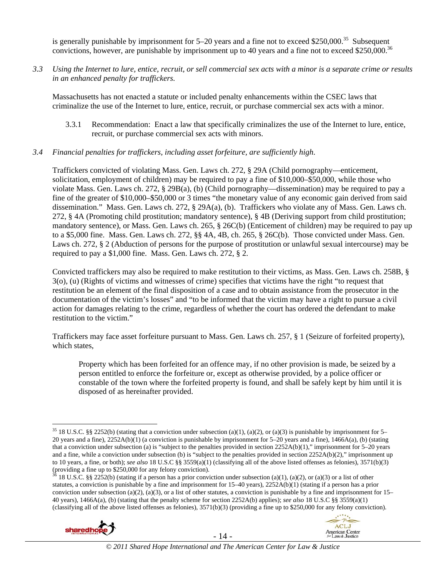is generally punishable by imprisonment for  $5-20$  years and a fine not to exceed \$250,000.<sup>35</sup> Subsequent convictions, however, are punishable by imprisonment up to 40 years and a fine not to exceed \$250,000.<sup>36</sup>

*3.3 Using the Internet to lure, entice, recruit, or sell commercial sex acts with a minor is a separate crime or results in an enhanced penalty for traffickers.* 

Massachusetts has not enacted a statute or included penalty enhancements within the CSEC laws that criminalize the use of the Internet to lure, entice, recruit, or purchase commercial sex acts with a minor.

3.3.1 Recommendation: Enact a law that specifically criminalizes the use of the Internet to lure, entice, recruit, or purchase commercial sex acts with minors.

#### *3.4 Financial penalties for traffickers, including asset forfeiture, are sufficiently high*.

Traffickers convicted of violating Mass. Gen. Laws ch. 272, § 29A (Child pornography—enticement, solicitation, employment of children) may be required to pay a fine of \$10,000–\$50,000, while those who violate Mass. Gen. Laws ch. 272, § 29B(a), (b) (Child pornography—dissemination) may be required to pay a fine of the greater of \$10,000–\$50,000 or 3 times "the monetary value of any economic gain derived from said dissemination." Mass. Gen. Laws ch. 272, § 29A(a), (b). Traffickers who violate any of Mass. Gen. Laws ch. 272, § 4A (Promoting child prostitution; mandatory sentence), § 4B (Deriving support from child prostitution; mandatory sentence), or Mass. Gen. Laws ch. 265, § 26C(b) (Enticement of children) may be required to pay up to a \$5,000 fine. Mass. Gen. Laws ch. 272, §§ 4A, 4B, ch. 265, § 26C(b). Those convicted under Mass. Gen. Laws ch. 272, § 2 (Abduction of persons for the purpose of prostitution or unlawful sexual intercourse) may be required to pay a \$1,000 fine. Mass. Gen. Laws ch. 272, § 2.

Convicted traffickers may also be required to make restitution to their victims, as Mass. Gen. Laws ch. 258B, § 3(o), (u) (Rights of victims and witnesses of crime) specifies that victims have the right "to request that restitution be an element of the final disposition of a case and to obtain assistance from the prosecutor in the documentation of the victim's losses" and "to be informed that the victim may have a right to pursue a civil action for damages relating to the crime, regardless of whether the court has ordered the defendant to make restitution to the victim."

Traffickers may face asset forfeiture pursuant to Mass. Gen. Laws ch. 257, § 1 (Seizure of forfeited property), which states,

Property which has been forfeited for an offence may, if no other provision is made, be seized by a person entitled to enforce the forfeiture or, except as otherwise provided, by a police officer or constable of the town where the forfeited property is found, and shall be safely kept by him until it is disposed of as hereinafter provided.

<sup>18</sup> U.S.C. §§ 2252(b) (stating if a person has a prior conviction under subsection (a)(1), (a)(2), or (a)(3) or a list of other statutes, a conviction is punishable by a fine and imprisonment for 15–40 years), 2252A(b)(1) (stating if a person has a prior conviction under subsection (a)(2), (a)(3), or a list of other statutes, a conviction is punishable by a fine and imprisonment for  $15-$ 40 years), 1466A(a), (b) (stating that the penalty scheme for section 2252A(b) applies); *see also* 18 U.S.C §§ 3559(a)(1) (classifying all of the above listed offenses as felonies),  $3571(b)(3)$  (providing a fine up to \$250,000 for any felony conviction).





<sup>&</sup>lt;sup>35</sup> 18 U.S.C. §§ 2252(b) (stating that a conviction under subsection (a)(1), (a)(2), or (a)(3) is punishable by imprisonment for 5– 20 years and a fine), 2252A(b)(1) (a conviction is punishable by imprisonment for 5–20 years and a fine), 1466A(a), (b) (stating that a conviction under subsection (a) is "subject to the penalties provided in section 2252A(b)(1)," imprisonment for 5–20 years and a fine, while a conviction under subsection (b) is "subject to the penalties provided in section 2252A(b)(2)," imprisonment up to 10 years, a fine, or both); *see also* 18 U.S.C §§ 3559(a)(1) (classifying all of the above listed offenses as felonies), 3571(b)(3) (providing a fine up to  $$250,000$  for any felony conviction).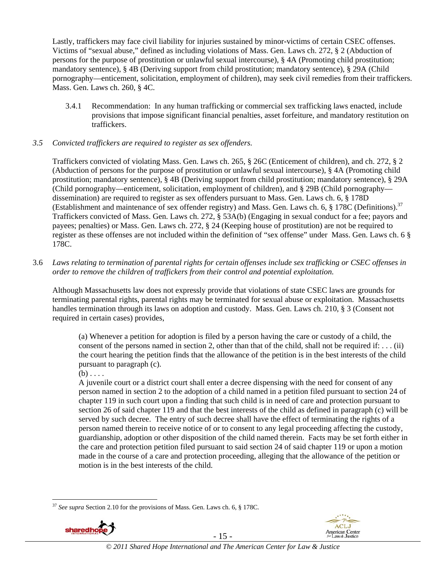Lastly, traffickers may face civil liability for injuries sustained by minor-victims of certain CSEC offenses. Victims of "sexual abuse," defined as including violations of Mass. Gen. Laws ch. 272, § 2 (Abduction of persons for the purpose of prostitution or unlawful sexual intercourse), § 4A (Promoting child prostitution; mandatory sentence), § 4B (Deriving support from child prostitution; mandatory sentence), § 29A (Child pornography—enticement, solicitation, employment of children), may seek civil remedies from their traffickers. Mass. Gen. Laws ch. 260, § 4C.

3.4.1 Recommendation: In any human trafficking or commercial sex trafficking laws enacted, include provisions that impose significant financial penalties, asset forfeiture, and mandatory restitution on traffickers.

#### *3.5 Convicted traffickers are required to register as sex offenders.*

Traffickers convicted of violating Mass. Gen. Laws ch. 265, § 26C (Enticement of children), and ch. 272, § 2 (Abduction of persons for the purpose of prostitution or unlawful sexual intercourse), § 4A (Promoting child prostitution; mandatory sentence), § 4B (Deriving support from child prostitution; mandatory sentence), § 29A (Child pornography—enticement, solicitation, employment of children), and § 29B (Child pornography dissemination) are required to register as sex offenders pursuant to Mass. Gen. Laws ch. 6, § 178D (Establishment and maintenance of sex offender registry) and Mass. Gen. Laws ch. 6,  $\S 178C$  (Definitions).<sup>37</sup> Traffickers convicted of Mass. Gen. Laws ch. 272, § 53A(b) (Engaging in sexual conduct for a fee; payors and payees; penalties) or Mass. Gen. Laws ch. 272, § 24 (Keeping house of prostitution) are not be required to register as these offenses are not included within the definition of "sex offense" under Mass. Gen. Laws ch. 6 § 178C.

3.6 *Laws relating to termination of parental rights for certain offenses include sex trafficking or CSEC offenses in order to remove the children of traffickers from their control and potential exploitation.*

Although Massachusetts law does not expressly provide that violations of state CSEC laws are grounds for terminating parental rights, parental rights may be terminated for sexual abuse or exploitation. Massachusetts handles termination through its laws on adoption and custody. Mass. Gen. Laws ch. 210, § 3 (Consent not required in certain cases) provides,

(a) Whenever a petition for adoption is filed by a person having the care or custody of a child, the consent of the persons named in section 2, other than that of the child, shall not be required if:  $\dots$  (ii) the court hearing the petition finds that the allowance of the petition is in the best interests of the child pursuant to paragraph (c).

 $(b)$ ...

A juvenile court or a district court shall enter a decree dispensing with the need for consent of any person named in section 2 to the adoption of a child named in a petition filed pursuant to section 24 of chapter 119 in such court upon a finding that such child is in need of care and protection pursuant to section 26 of said chapter 119 and that the best interests of the child as defined in paragraph (c) will be served by such decree. The entry of such decree shall have the effect of terminating the rights of a person named therein to receive notice of or to consent to any legal proceeding affecting the custody, guardianship, adoption or other disposition of the child named therein. Facts may be set forth either in the care and protection petition filed pursuant to said section 24 of said chapter 119 or upon a motion made in the course of a care and protection proceeding, alleging that the allowance of the petition or motion is in the best interests of the child.

 $\overline{a}$ See supra Section 2.10 for the provisions of Mass. Gen. Laws ch. 6, § 178C.





- 15 -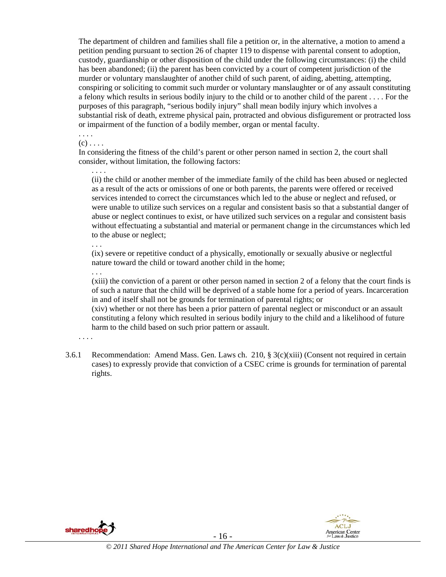The department of children and families shall file a petition or, in the alternative, a motion to amend a petition pending pursuant to section 26 of chapter 119 to dispense with parental consent to adoption, custody, guardianship or other disposition of the child under the following circumstances: (i) the child has been abandoned; (ii) the parent has been convicted by a court of competent jurisdiction of the murder or voluntary manslaughter of another child of such parent, of aiding, abetting, attempting, conspiring or soliciting to commit such murder or voluntary manslaughter or of any assault constituting a felony which results in serious bodily injury to the child or to another child of the parent . . . . For the purposes of this paragraph, "serious bodily injury" shall mean bodily injury which involves a substantial risk of death, extreme physical pain, protracted and obvious disfigurement or protracted loss or impairment of the function of a bodily member, organ or mental faculty.

. . . .

 $(c)$ ...

In considering the fitness of the child's parent or other person named in section 2, the court shall consider, without limitation, the following factors:

. . . . (ii) the child or another member of the immediate family of the child has been abused or neglected as a result of the acts or omissions of one or both parents, the parents were offered or received services intended to correct the circumstances which led to the abuse or neglect and refused, or were unable to utilize such services on a regular and consistent basis so that a substantial danger of abuse or neglect continues to exist, or have utilized such services on a regular and consistent basis without effectuating a substantial and material or permanent change in the circumstances which led to the abuse or neglect;

. . .

(ix) severe or repetitive conduct of a physically, emotionally or sexually abusive or neglectful nature toward the child or toward another child in the home;

. . .

(xiii) the conviction of a parent or other person named in section 2 of a felony that the court finds is of such a nature that the child will be deprived of a stable home for a period of years. Incarceration in and of itself shall not be grounds for termination of parental rights; or

(xiv) whether or not there has been a prior pattern of parental neglect or misconduct or an assault constituting a felony which resulted in serious bodily injury to the child and a likelihood of future harm to the child based on such prior pattern or assault.

- . . . .
- 3.6.1 Recommendation: Amend Mass. Gen. Laws ch. 210,  $\S 3(c)(xiii)$  (Consent not required in certain cases) to expressly provide that conviction of a CSEC crime is grounds for termination of parental rights.



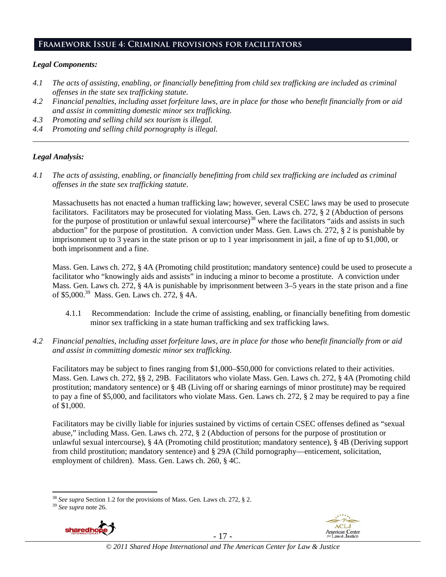# **Framework Issue 4: Criminal provisions for facilitators**

#### *Legal Components:*

- *4.1 The acts of assisting, enabling, or financially benefitting from child sex trafficking are included as criminal offenses in the state sex trafficking statute.*
- *4.2 Financial penalties, including asset forfeiture laws, are in place for those who benefit financially from or aid and assist in committing domestic minor sex trafficking.*

*\_\_\_\_\_\_\_\_\_\_\_\_\_\_\_\_\_\_\_\_\_\_\_\_\_\_\_\_\_\_\_\_\_\_\_\_\_\_\_\_\_\_\_\_\_\_\_\_\_\_\_\_\_\_\_\_\_\_\_\_\_\_\_\_\_\_\_\_\_\_\_\_\_\_\_\_\_\_\_\_\_\_\_\_\_\_\_\_\_\_\_\_\_\_* 

- *4.3 Promoting and selling child sex tourism is illegal.*
- *4.4 Promoting and selling child pornography is illegal.*

#### *Legal Analysis:*

*4.1 The acts of assisting, enabling, or financially benefitting from child sex trafficking are included as criminal offenses in the state sex trafficking statute*.

Massachusetts has not enacted a human trafficking law; however, several CSEC laws may be used to prosecute facilitators. Facilitators may be prosecuted for violating Mass. Gen. Laws ch. 272, § 2 (Abduction of persons for the purpose of prostitution or unlawful sexual intercourse)<sup>38</sup> where the facilitators "aids and assists in such abduction" for the purpose of prostitution. A conviction under Mass. Gen. Laws ch. 272, § 2 is punishable by imprisonment up to 3 years in the state prison or up to 1 year imprisonment in jail, a fine of up to \$1,000, or both imprisonment and a fine.

Mass. Gen. Laws ch. 272, § 4A (Promoting child prostitution; mandatory sentence) could be used to prosecute a facilitator who "knowingly aids and assists" in inducing a minor to become a prostitute. A conviction under Mass. Gen. Laws ch. 272, § 4A is punishable by imprisonment between 3–5 years in the state prison and a fine of \$5,000.39 Mass. Gen. Laws ch. 272, § 4A.

- 4.1.1 Recommendation: Include the crime of assisting, enabling, or financially benefiting from domestic minor sex trafficking in a state human trafficking and sex trafficking laws.
- *4.2 Financial penalties, including asset forfeiture laws, are in place for those who benefit financially from or aid and assist in committing domestic minor sex trafficking.*

Facilitators may be subject to fines ranging from \$1,000–\$50,000 for convictions related to their activities. Mass. Gen. Laws ch. 272, §§ 2, 29B. Facilitators who violate Mass. Gen. Laws ch. 272, § 4A (Promoting child prostitution; mandatory sentence) or § 4B (Living off or sharing earnings of minor prostitute) may be required to pay a fine of \$5,000, and facilitators who violate Mass. Gen. Laws ch. 272, § 2 may be required to pay a fine of \$1,000.

Facilitators may be civilly liable for injuries sustained by victims of certain CSEC offenses defined as "sexual abuse," including Mass. Gen. Laws ch. 272, § 2 (Abduction of persons for the purpose of prostitution or unlawful sexual intercourse), § 4A (Promoting child prostitution; mandatory sentence), § 4B (Deriving support from child prostitution; mandatory sentence) and § 29A (Child pornography—enticement, solicitation, employment of children). Mass. Gen. Laws ch. 260, § 4C.

 $\overline{a}$ 





- 17 - *© 2011 Shared Hope International and The American Center for Law & Justice*

<sup>38</sup> *See supra* Section 1.2 for the provisions of Mass. Gen. Laws ch. 272, § 2. 39 *See supra* note 26.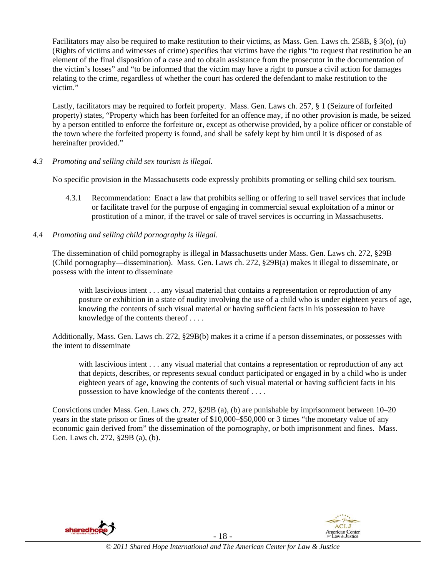Facilitators may also be required to make restitution to their victims, as Mass. Gen. Laws ch. 258B, § 3(o), (u) (Rights of victims and witnesses of crime) specifies that victims have the rights "to request that restitution be an element of the final disposition of a case and to obtain assistance from the prosecutor in the documentation of the victim's losses" and "to be informed that the victim may have a right to pursue a civil action for damages relating to the crime, regardless of whether the court has ordered the defendant to make restitution to the victim."

Lastly, facilitators may be required to forfeit property. Mass. Gen. Laws ch. 257, § 1 (Seizure of forfeited property) states, "Property which has been forfeited for an offence may, if no other provision is made, be seized by a person entitled to enforce the forfeiture or, except as otherwise provided, by a police officer or constable of the town where the forfeited property is found, and shall be safely kept by him until it is disposed of as hereinafter provided."

#### *4.3 Promoting and selling child sex tourism is illegal*.

No specific provision in the Massachusetts code expressly prohibits promoting or selling child sex tourism.

- 4.3.1 Recommendation: Enact a law that prohibits selling or offering to sell travel services that include or facilitate travel for the purpose of engaging in commercial sexual exploitation of a minor or prostitution of a minor, if the travel or sale of travel services is occurring in Massachusetts.
- *4.4 Promoting and selling child pornography is illegal*.

The dissemination of child pornography is illegal in Massachusetts under Mass. Gen. Laws ch. 272, §29B (Child pornography—dissemination). Mass. Gen. Laws ch. 272, §29B(a) makes it illegal to disseminate, or possess with the intent to disseminate

with lascivious intent . . . any visual material that contains a representation or reproduction of any posture or exhibition in a state of nudity involving the use of a child who is under eighteen years of age, knowing the contents of such visual material or having sufficient facts in his possession to have knowledge of the contents thereof . . . .

Additionally, Mass. Gen. Laws ch. 272, §29B(b) makes it a crime if a person disseminates, or possesses with the intent to disseminate

with lascivious intent . . . any visual material that contains a representation or reproduction of any act that depicts, describes, or represents sexual conduct participated or engaged in by a child who is under eighteen years of age, knowing the contents of such visual material or having sufficient facts in his possession to have knowledge of the contents thereof . . . .

Convictions under Mass. Gen. Laws ch. 272, §29B (a), (b) are punishable by imprisonment between 10–20 years in the state prison or fines of the greater of \$10,000–\$50,000 or 3 times "the monetary value of any economic gain derived from" the dissemination of the pornography, or both imprisonment and fines. Mass. Gen. Laws ch. 272, §29B (a), (b).



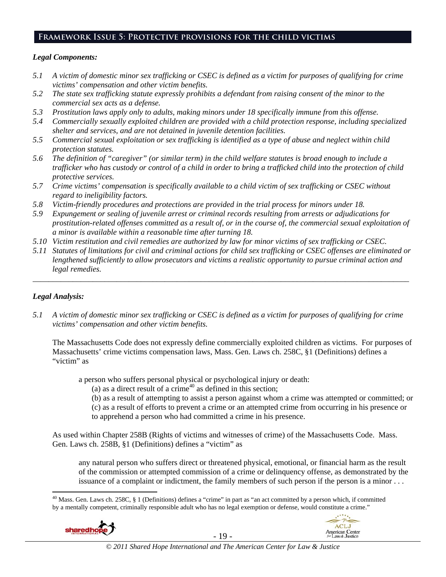# **Framework Issue 5: Protective provisions for the child victims**

#### *Legal Components:*

- *5.1 A victim of domestic minor sex trafficking or CSEC is defined as a victim for purposes of qualifying for crime victims' compensation and other victim benefits.*
- *5.2 The state sex trafficking statute expressly prohibits a defendant from raising consent of the minor to the commercial sex acts as a defense.*
- *5.3 Prostitution laws apply only to adults, making minors under 18 specifically immune from this offense.*
- *5.4 Commercially sexually exploited children are provided with a child protection response, including specialized shelter and services, and are not detained in juvenile detention facilities.*
- *5.5 Commercial sexual exploitation or sex trafficking is identified as a type of abuse and neglect within child protection statutes.*
- *5.6 The definition of "caregiver" (or similar term) in the child welfare statutes is broad enough to include a*  trafficker who has custody or control of a child in order to bring a trafficked child into the protection of child *protective services.*
- *5.7 Crime victims' compensation is specifically available to a child victim of sex trafficking or CSEC without regard to ineligibility factors.*
- *5.8 Victim-friendly procedures and protections are provided in the trial process for minors under 18.*
- *5.9 Expungement or sealing of juvenile arrest or criminal records resulting from arrests or adjudications for prostitution-related offenses committed as a result of, or in the course of, the commercial sexual exploitation of a minor is available within a reasonable time after turning 18.*
- *5.10 Victim restitution and civil remedies are authorized by law for minor victims of sex trafficking or CSEC.*
- *5.11 Statutes of limitations for civil and criminal actions for child sex trafficking or CSEC offenses are eliminated or lengthened sufficiently to allow prosecutors and victims a realistic opportunity to pursue criminal action and legal remedies.*

*\_\_\_\_\_\_\_\_\_\_\_\_\_\_\_\_\_\_\_\_\_\_\_\_\_\_\_\_\_\_\_\_\_\_\_\_\_\_\_\_\_\_\_\_\_\_\_\_\_\_\_\_\_\_\_\_\_\_\_\_\_\_\_\_\_\_\_\_\_\_\_\_\_\_\_\_\_\_\_\_\_\_\_\_\_\_\_\_\_\_\_\_\_\_* 

#### *Legal Analysis:*

 $\overline{a}$ 

*5.1 A victim of domestic minor sex trafficking or CSEC is defined as a victim for purposes of qualifying for crime victims' compensation and other victim benefits.* 

The Massachusetts Code does not expressly define commercially exploited children as victims. For purposes of Massachusetts' crime victims compensation laws, Mass. Gen. Laws ch. 258C, §1 (Definitions) defines a "victim" as

a person who suffers personal physical or psychological injury or death:

(a) as a direct result of a crime<sup>40</sup> as defined in this section;

(b) as a result of attempting to assist a person against whom a crime was attempted or committed; or

(c) as a result of efforts to prevent a crime or an attempted crime from occurring in his presence or to apprehend a person who had committed a crime in his presence.

As used within Chapter 258B (Rights of victims and witnesses of crime) of the Massachusetts Code. Mass. Gen. Laws ch. 258B, §1 (Definitions) defines a "victim" as

any natural person who suffers direct or threatened physical, emotional, or financial harm as the result of the commission or attempted commission of a crime or delinquency offense, as demonstrated by the issuance of a complaint or indictment, the family members of such person if the person is a minor . . .

<sup>40</sup> Mass. Gen. Laws ch. 258C, § 1 (Definitions) defines a "crime" in part as "an act committed by a person which, if committed by a mentally competent, criminally responsible adult who has no legal exemption or defense, would constitute a crime."





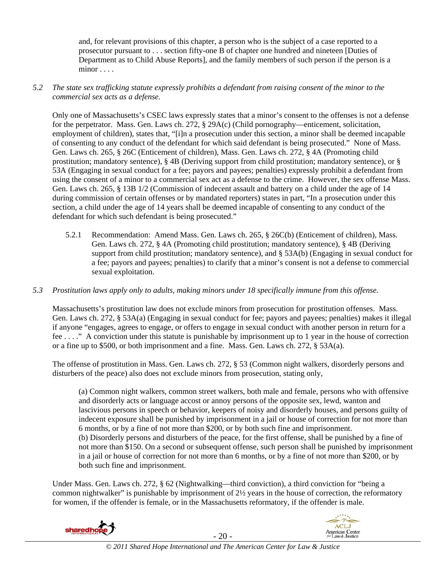and, for relevant provisions of this chapter, a person who is the subject of a case reported to a prosecutor pursuant to . . . section fifty-one B of chapter one hundred and nineteen [Duties of Department as to Child Abuse Reports], and the family members of such person if the person is a minor . . . .

# *5.2 The state sex trafficking statute expressly prohibits a defendant from raising consent of the minor to the commercial sex acts as a defense.*

Only one of Massachusetts's CSEC laws expressly states that a minor's consent to the offenses is not a defense for the perpetrator. Mass. Gen. Laws ch. 272, § 29A(c) (Child pornography—enticement, solicitation, employment of children), states that, "[i]n a prosecution under this section, a minor shall be deemed incapable of consenting to any conduct of the defendant for which said defendant is being prosecuted." None of Mass. Gen. Laws ch. 265, § 26C (Enticement of children), Mass. Gen. Laws ch. 272, § 4A (Promoting child prostitution; mandatory sentence), § 4B (Deriving support from child prostitution; mandatory sentence), or § 53A (Engaging in sexual conduct for a fee; payors and payees; penalties) expressly prohibit a defendant from using the consent of a minor to a commercial sex act as a defense to the crime. However, the sex offense Mass. Gen. Laws ch. 265, § 13B 1/2 (Commission of indecent assault and battery on a child under the age of 14 during commission of certain offenses or by mandated reporters) states in part, "In a prosecution under this section, a child under the age of 14 years shall be deemed incapable of consenting to any conduct of the defendant for which such defendant is being prosecuted."

5.2.1 Recommendation: Amend Mass. Gen. Laws ch. 265, § 26C(b) (Enticement of children), Mass. Gen. Laws ch. 272, § 4A (Promoting child prostitution; mandatory sentence), § 4B (Deriving support from child prostitution; mandatory sentence), and § 53A(b) (Engaging in sexual conduct for a fee; payors and payees; penalties) to clarify that a minor's consent is not a defense to commercial sexual exploitation.

# *5.3 Prostitution laws apply only to adults, making minors under 18 specifically immune from this offense.*

Massachusetts's prostitution law does not exclude minors from prosecution for prostitution offenses. Mass. Gen. Laws ch. 272, § 53A(a) (Engaging in sexual conduct for fee; payors and payees; penalties) makes it illegal if anyone "engages, agrees to engage, or offers to engage in sexual conduct with another person in return for a fee . . . ." A conviction under this statute is punishable by imprisonment up to 1 year in the house of correction or a fine up to \$500, or both imprisonment and a fine. Mass. Gen. Laws ch. 272, § 53A(a).

The offense of prostitution in Mass. Gen. Laws ch. 272, § 53 (Common night walkers, disorderly persons and disturbers of the peace) also does not exclude minors from prosecution, stating only,

(a) Common night walkers, common street walkers, both male and female, persons who with offensive and disorderly acts or language accost or annoy persons of the opposite sex, lewd, wanton and lascivious persons in speech or behavior, keepers of noisy and disorderly houses, and persons guilty of indecent exposure shall be punished by imprisonment in a jail or house of correction for not more than 6 months, or by a fine of not more than \$200, or by both such fine and imprisonment. (b) Disorderly persons and disturbers of the peace, for the first offense, shall be punished by a fine of not more than \$150. On a second or subsequent offense, such person shall be punished by imprisonment in a jail or house of correction for not more than 6 months, or by a fine of not more than \$200, or by both such fine and imprisonment.

Under Mass. Gen. Laws ch. 272, § 62 (Nightwalking—third conviction), a third conviction for "being a common nightwalker" is punishable by imprisonment of 2½ years in the house of correction, the reformatory for women, if the offender is female, or in the Massachusetts reformatory, if the offender is male.





- 20 - *© 2011 Shared Hope International and The American Center for Law & Justice*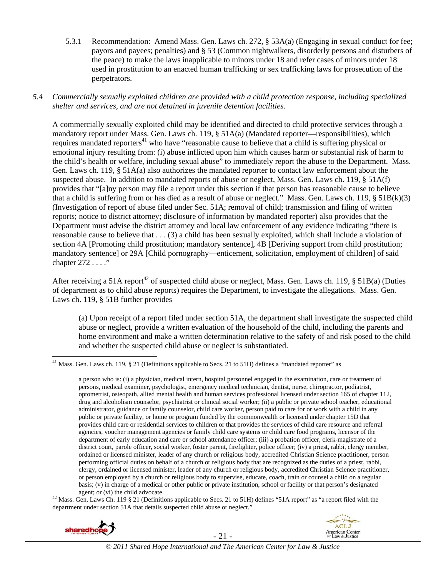5.3.1 Recommendation: Amend Mass. Gen. Laws ch. 272, § 53A(a) (Engaging in sexual conduct for fee; payors and payees; penalties) and § 53 (Common nightwalkers, disorderly persons and disturbers of the peace) to make the laws inapplicable to minors under 18 and refer cases of minors under 18 used in prostitution to an enacted human trafficking or sex trafficking laws for prosecution of the perpetrators.

# *5.4 Commercially sexually exploited children are provided with a child protection response, including specialized shelter and services, and are not detained in juvenile detention facilities.*

A commercially sexually exploited child may be identified and directed to child protective services through a mandatory report under Mass. Gen. Laws ch. 119, § 51A(a) (Mandated reporter—responsibilities), which requires mandated reporters<sup>41</sup> who have "reasonable cause to believe that a child is suffering physical or emotional injury resulting from: (i) abuse inflicted upon him which causes harm or substantial risk of harm to the child's health or welfare, including sexual abuse" to immediately report the abuse to the Department. Mass. Gen. Laws ch. 119, § 51A(a) also authorizes the mandated reporter to contact law enforcement about the suspected abuse. In addition to mandated reports of abuse or neglect, Mass. Gen. Laws ch. 119, § 51A(f) provides that "[a]ny person may file a report under this section if that person has reasonable cause to believe that a child is suffering from or has died as a result of abuse or neglect." Mass. Gen. Laws ch. 119, § 51B(k)(3) (Investigation of report of abuse filed under Sec. 51A; removal of child; transmission and filing of written reports; notice to district attorney; disclosure of information by mandated reporter) also provides that the Department must advise the district attorney and local law enforcement of any evidence indicating "there is reasonable cause to believe that . . . (3) a child has been sexually exploited, which shall include a violation of section 4A [Promoting child prostitution; mandatory sentence], 4B [Deriving support from child prostitution; mandatory sentence] or 29A [Child pornography—enticement, solicitation, employment of children] of said chapter 272 . . . ."

After receiving a 51A report<sup>42</sup> of suspected child abuse or neglect, Mass. Gen. Laws ch. 119,  $\S$  51B(a) (Duties of department as to child abuse reports) requires the Department, to investigate the allegations. Mass. Gen. Laws ch. 119, § 51B further provides

(a) Upon receipt of a report filed under section 51A, the department shall investigate the suspected child abuse or neglect, provide a written evaluation of the household of the child, including the parents and home environment and make a written determination relative to the safety of and risk posed to the child and whether the suspected child abuse or neglect is substantiated.

agent; or (vi) the child advocate.<br><sup>42</sup> Mass. Gen. Laws Ch. 119 § 21 (Definitions applicable to Secs. 21 to 51H) defines "51A report" as "a report filed with the department under section 51A that details suspected child abuse or neglect."





 $\overline{a}$ <sup>41</sup> Mass. Gen. Laws ch. 119, § 21 (Definitions applicable to Secs. 21 to 51H) defines a "mandated reporter" as

a person who is: (i) a physician, medical intern, hospital personnel engaged in the examination, care or treatment of persons, medical examiner, psychologist, emergency medical technician, dentist, nurse, chiropractor, podiatrist, optometrist, osteopath, allied mental health and human services professional licensed under section 165 of chapter 112, drug and alcoholism counselor, psychiatrist or clinical social worker; (ii) a public or private school teacher, educational administrator, guidance or family counselor, child care worker, person paid to care for or work with a child in any public or private facility, or home or program funded by the commonwealth or licensed under chapter 15D that provides child care or residential services to children or that provides the services of child care resource and referral agencies, voucher management agencies or family child care systems or child care food programs, licensor of the department of early education and care or school attendance officer; (iii) a probation officer, clerk-magistrate of a district court, parole officer, social worker, foster parent, firefighter, police officer; (iv) a priest, rabbi, clergy member, ordained or licensed minister, leader of any church or religious body, accredited Christian Science practitioner, person performing official duties on behalf of a church or religious body that are recognized as the duties of a priest, rabbi, clergy, ordained or licensed minister, leader of any church or religious body, accredited Christian Science practitioner, or person employed by a church or religious body to supervise, educate, coach, train or counsel a child on a regular basis; (v) in charge of a medical or other public or private institution, school or facility or that person's designated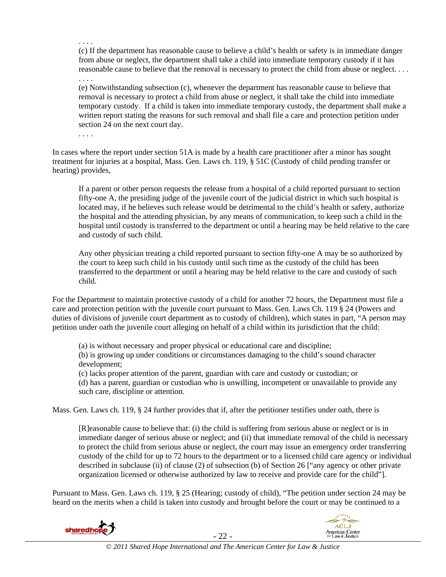. . . . (c) If the department has reasonable cause to believe a child's health or safety is in immediate danger from abuse or neglect, the department shall take a child into immediate temporary custody if it has reasonable cause to believe that the removal is necessary to protect the child from abuse or neglect. . . .

. . . .

(e) Notwithstanding subsection (c), whenever the department has reasonable cause to believe that removal is necessary to protect a child from abuse or neglect, it shall take the child into immediate temporary custody. If a child is taken into immediate temporary custody, the department shall make a written report stating the reasons for such removal and shall file a care and protection petition under section 24 on the next court day.

. . . .

In cases where the report under section 51A is made by a health care practitioner after a minor has sought treatment for injuries at a hospital, Mass. Gen. Laws ch. 119, § 51C (Custody of child pending transfer or hearing) provides,

If a parent or other person requests the release from a hospital of a child reported pursuant to section fifty-one A, the presiding judge of the juvenile court of the judicial district in which such hospital is located may, if he believes such release would be detrimental to the child's health or safety, authorize the hospital and the attending physician, by any means of communication, to keep such a child in the hospital until custody is transferred to the department or until a hearing may be held relative to the care and custody of such child.

Any other physician treating a child reported pursuant to section fifty-one A may be so authorized by the court to keep such child in his custody until such time as the custody of the child has been transferred to the department or until a hearing may be held relative to the care and custody of such child.

For the Department to maintain protective custody of a child for another 72 hours, the Department must file a care and protection petition with the juvenile court pursuant to Mass. Gen. Laws Ch. 119 § 24 (Powers and duties of divisions of juvenile court department as to custody of children), which states in part, "A person may petition under oath the juvenile court alleging on behalf of a child within its jurisdiction that the child:

(a) is without necessary and proper physical or educational care and discipline;

(b) is growing up under conditions or circumstances damaging to the child's sound character development;

 (c) lacks proper attention of the parent, guardian with care and custody or custodian; or (d) has a parent, guardian or custodian who is unwilling, incompetent or unavailable to provide any such care, discipline or attention.

Mass. Gen. Laws ch. 119, § 24 further provides that if, after the petitioner testifies under oath, there is

[R]easonable cause to believe that: (i) the child is suffering from serious abuse or neglect or is in immediate danger of serious abuse or neglect; and (ii) that immediate removal of the child is necessary to protect the child from serious abuse or neglect, the court may issue an emergency order transferring custody of the child for up to 72 hours to the department or to a licensed child care agency or individual described in subclause (ii) of clause (2) of subsection (b) of Section 26 ["any agency or other private organization licensed or otherwise authorized by law to receive and provide care for the child"].

Pursuant to Mass. Gen. Laws ch. 119, § 25 (Hearing; custody of child), "The petition under section 24 may be heard on the merits when a child is taken into custody and brought before the court or may be continued to a



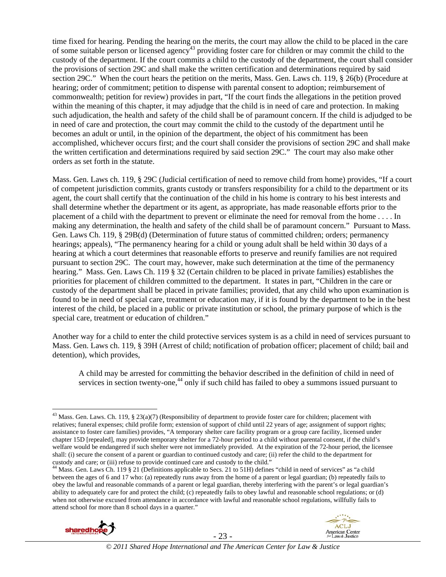time fixed for hearing. Pending the hearing on the merits, the court may allow the child to be placed in the care of some suitable person or licensed agency<sup>43</sup> providing foster care for children or may commit the child to the custody of the department. If the court commits a child to the custody of the department, the court shall consider the provisions of section 29C and shall make the written certification and determinations required by said section 29C." When the court hears the petition on the merits, Mass. Gen. Laws ch. 119, § 26(b) (Procedure at hearing; order of commitment; petition to dispense with parental consent to adoption; reimbursement of commonwealth; petition for review) provides in part, "If the court finds the allegations in the petition proved within the meaning of this chapter, it may adjudge that the child is in need of care and protection. In making such adjudication, the health and safety of the child shall be of paramount concern. If the child is adjudged to be in need of care and protection, the court may commit the child to the custody of the department until he becomes an adult or until, in the opinion of the department, the object of his commitment has been accomplished, whichever occurs first; and the court shall consider the provisions of section 29C and shall make the written certification and determinations required by said section 29C." The court may also make other orders as set forth in the statute.

Mass. Gen. Laws ch. 119, § 29C (Judicial certification of need to remove child from home) provides, "If a court of competent jurisdiction commits, grants custody or transfers responsibility for a child to the department or its agent, the court shall certify that the continuation of the child in his home is contrary to his best interests and shall determine whether the department or its agent, as appropriate, has made reasonable efforts prior to the placement of a child with the department to prevent or eliminate the need for removal from the home . . . . In making any determination, the health and safety of the child shall be of paramount concern." Pursuant to Mass. Gen. Laws Ch. 119, § 29B(d) (Determination of future status of committed children; orders; permanency hearings; appeals), "The permanency hearing for a child or young adult shall be held within 30 days of a hearing at which a court determines that reasonable efforts to preserve and reunify families are not required pursuant to section 29C. The court may, however, make such determination at the time of the permanency hearing." Mass. Gen. Laws Ch. 119 § 32 (Certain children to be placed in private families) establishes the priorities for placement of children committed to the department. It states in part, "Children in the care or custody of the department shall be placed in private families; provided, that any child who upon examination is found to be in need of special care, treatment or education may, if it is found by the department to be in the best interest of the child, be placed in a public or private institution or school, the primary purpose of which is the special care, treatment or education of children."

Another way for a child to enter the child protective services system is as a child in need of services pursuant to Mass. Gen. Laws ch. 119, § 39H (Arrest of child; notification of probation officer; placement of child; bail and detention), which provides,

A child may be arrested for committing the behavior described in the definition of child in need of services in section twenty-one,<sup>44</sup> only if such child has failed to obey a summons issued pursuant to

<sup>&</sup>lt;sup>44</sup> Mass. Gen. Laws Ch. 119 § 21 (Definitions applicable to Secs. 21 to 51H) defines "child in need of services" as "a child between the ages of 6 and 17 who: (a) repeatedly runs away from the home of a parent or legal guardian; (b) repeatedly fails to obey the lawful and reasonable commands of a parent or legal guardian, thereby interfering with the parent's or legal guardian's ability to adequately care for and protect the child; (c) repeatedly fails to obey lawful and reasonable school regulations; or (d) when not otherwise excused from attendance in accordance with lawful and reasonable school regulations, willfully fails to attend school for more than 8 school days in a quarter."





<sup>&</sup>lt;sup>43</sup> Mass. Gen. Laws. Ch. 119, § 23(a)(7) (Responsibility of department to provide foster care for children; placement with relatives; funeral expenses; child profile form; extension of support of child until 22 years of age; assignment of support rights; assistance to foster care families) provides, "A temporary shelter care facility program or a group care facility, licensed under chapter 15D [repealed], may provide temporary shelter for a 72-hour period to a child without parental consent, if the child's welfare would be endangered if such shelter were not immediately provided. At the expiration of the 72-hour period, the licensee shall: (i) secure the consent of a parent or guardian to continued custody and care; (ii) refer the child to the department for custody and care; or (iii) refuse to provide continued care and custody to the child."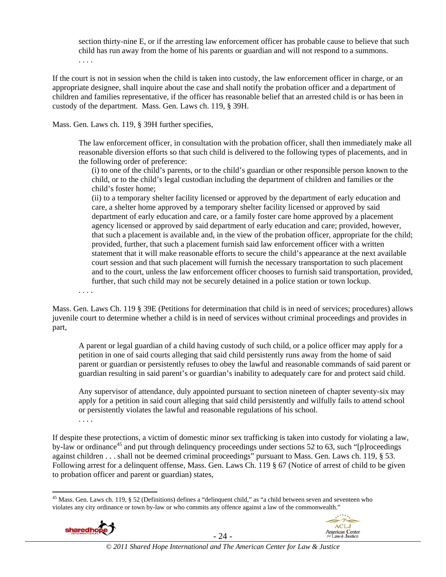section thirty-nine E, or if the arresting law enforcement officer has probable cause to believe that such child has run away from the home of his parents or guardian and will not respond to a summons. . . . .

If the court is not in session when the child is taken into custody, the law enforcement officer in charge, or an appropriate designee, shall inquire about the case and shall notify the probation officer and a department of children and families representative, if the officer has reasonable belief that an arrested child is or has been in custody of the department. Mass. Gen. Laws ch. 119, § 39H.

Mass. Gen. Laws ch. 119, § 39H further specifies,

The law enforcement officer, in consultation with the probation officer, shall then immediately make all reasonable diversion efforts so that such child is delivered to the following types of placements, and in the following order of preference:

(i) to one of the child's parents, or to the child's guardian or other responsible person known to the child, or to the child's legal custodian including the department of children and families or the child's foster home;

(ii) to a temporary shelter facility licensed or approved by the department of early education and care, a shelter home approved by a temporary shelter facility licensed or approved by said department of early education and care, or a family foster care home approved by a placement agency licensed or approved by said department of early education and care; provided, however, that such a placement is available and, in the view of the probation officer, appropriate for the child; provided, further, that such a placement furnish said law enforcement officer with a written statement that it will make reasonable efforts to secure the child's appearance at the next available court session and that such placement will furnish the necessary transportation to such placement and to the court, unless the law enforcement officer chooses to furnish said transportation, provided, further, that such child may not be securely detained in a police station or town lockup.

. . . .

Mass. Gen. Laws Ch. 119 § 39E (Petitions for determination that child is in need of services; procedures) allows juvenile court to determine whether a child is in need of services without criminal proceedings and provides in part,

A parent or legal guardian of a child having custody of such child, or a police officer may apply for a petition in one of said courts alleging that said child persistently runs away from the home of said parent or guardian or persistently refuses to obey the lawful and reasonable commands of said parent or guardian resulting in said parent's or guardian's inability to adequately care for and protect said child.

Any supervisor of attendance, duly appointed pursuant to section nineteen of chapter seventy-six may apply for a petition in said court alleging that said child persistently and wilfully fails to attend school or persistently violates the lawful and reasonable regulations of his school.

. . . .

If despite these protections, a victim of domestic minor sex trafficking is taken into custody for violating a law, by-law or ordinance<sup>45</sup> and put through delinquency proceedings under sections 52 to 63, such "[p]roceedings against children . . . shall not be deemed criminal proceedings" pursuant to Mass. Gen. Laws ch. 119, § 53. Following arrest for a delinquent offense, Mass. Gen. Laws Ch. 119 § 67 (Notice of arrest of child to be given to probation officer and parent or guardian) states,

 $\overline{a}$ <sup>45</sup> Mass. Gen. Laws ch. 119, § 52 (Definitions) defines a "delinquent child," as "a child between seven and seventeen who violates any city ordinance or town by-law or who commits any offence against a law of the commonwealth."





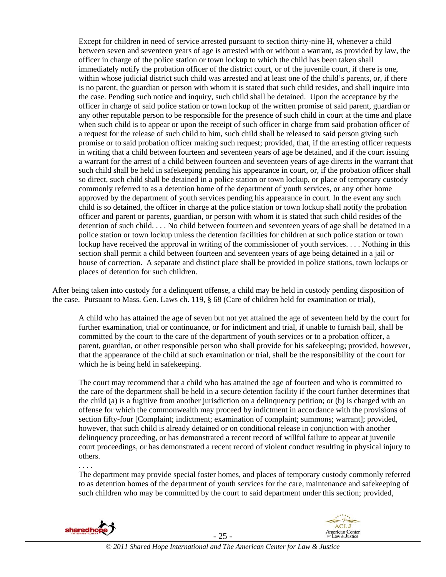Except for children in need of service arrested pursuant to section thirty-nine H, whenever a child between seven and seventeen years of age is arrested with or without a warrant, as provided by law, the officer in charge of the police station or town lockup to which the child has been taken shall immediately notify the probation officer of the district court, or of the juvenile court, if there is one, within whose judicial district such child was arrested and at least one of the child's parents, or, if there is no parent, the guardian or person with whom it is stated that such child resides, and shall inquire into the case. Pending such notice and inquiry, such child shall be detained. Upon the acceptance by the officer in charge of said police station or town lockup of the written promise of said parent, guardian or any other reputable person to be responsible for the presence of such child in court at the time and place when such child is to appear or upon the receipt of such officer in charge from said probation officer of a request for the release of such child to him, such child shall be released to said person giving such promise or to said probation officer making such request; provided, that, if the arresting officer requests in writing that a child between fourteen and seventeen years of age be detained, and if the court issuing a warrant for the arrest of a child between fourteen and seventeen years of age directs in the warrant that such child shall be held in safekeeping pending his appearance in court, or, if the probation officer shall so direct, such child shall be detained in a police station or town lockup, or place of temporary custody commonly referred to as a detention home of the department of youth services, or any other home approved by the department of youth services pending his appearance in court. In the event any such child is so detained, the officer in charge at the police station or town lockup shall notify the probation officer and parent or parents, guardian, or person with whom it is stated that such child resides of the detention of such child. . . . No child between fourteen and seventeen years of age shall be detained in a police station or town lockup unless the detention facilities for children at such police station or town lockup have received the approval in writing of the commissioner of youth services. . . . Nothing in this section shall permit a child between fourteen and seventeen years of age being detained in a jail or house of correction. A separate and distinct place shall be provided in police stations, town lockups or places of detention for such children.

After being taken into custody for a delinquent offense, a child may be held in custody pending disposition of the case. Pursuant to Mass. Gen. Laws ch. 119, § 68 (Care of children held for examination or trial),

A child who has attained the age of seven but not yet attained the age of seventeen held by the court for further examination, trial or continuance, or for indictment and trial, if unable to furnish bail, shall be committed by the court to the care of the department of youth services or to a probation officer, a parent, guardian, or other responsible person who shall provide for his safekeeping; provided, however, that the appearance of the child at such examination or trial, shall be the responsibility of the court for which he is being held in safekeeping.

The court may recommend that a child who has attained the age of fourteen and who is committed to the care of the department shall be held in a secure detention facility if the court further determines that the child (a) is a fugitive from another jurisdiction on a delinquency petition; or (b) is charged with an offense for which the commonwealth may proceed by indictment in accordance with the provisions of section fifty-four [Complaint; indictment; examination of complaint; summons; warrant]; provided, however, that such child is already detained or on conditional release in conjunction with another delinquency proceeding, or has demonstrated a recent record of willful failure to appear at juvenile court proceedings, or has demonstrated a recent record of violent conduct resulting in physical injury to others.

The department may provide special foster homes, and places of temporary custody commonly referred to as detention homes of the department of youth services for the care, maintenance and safekeeping of such children who may be committed by the court to said department under this section; provided,



. . . .



- 25 -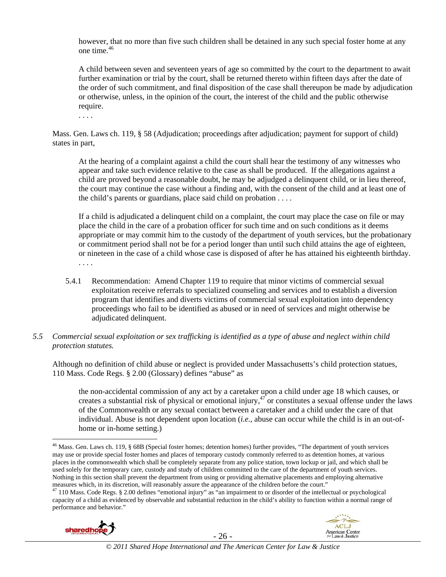however, that no more than five such children shall be detained in any such special foster home at any one time. $46$ 

A child between seven and seventeen years of age so committed by the court to the department to await further examination or trial by the court, shall be returned thereto within fifteen days after the date of the order of such commitment, and final disposition of the case shall thereupon be made by adjudication or otherwise, unless, in the opinion of the court, the interest of the child and the public otherwise require.

. . . .

Mass. Gen. Laws ch. 119, § 58 (Adjudication; proceedings after adjudication; payment for support of child) states in part,

At the hearing of a complaint against a child the court shall hear the testimony of any witnesses who appear and take such evidence relative to the case as shall be produced. If the allegations against a child are proved beyond a reasonable doubt, he may be adjudged a delinquent child, or in lieu thereof, the court may continue the case without a finding and, with the consent of the child and at least one of the child's parents or guardians, place said child on probation . . . .

If a child is adjudicated a delinquent child on a complaint, the court may place the case on file or may place the child in the care of a probation officer for such time and on such conditions as it deems appropriate or may commit him to the custody of the department of youth services, but the probationary or commitment period shall not be for a period longer than until such child attains the age of eighteen, or nineteen in the case of a child whose case is disposed of after he has attained his eighteenth birthday. . . . .

- 5.4.1 Recommendation: Amend Chapter 119 to require that minor victims of commercial sexual exploitation receive referrals to specialized counseling and services and to establish a diversion program that identifies and diverts victims of commercial sexual exploitation into dependency proceedings who fail to be identified as abused or in need of services and might otherwise be adjudicated delinquent.
- *5.5 Commercial sexual exploitation or sex trafficking is identified as a type of abuse and neglect within child protection statutes.*

Although no definition of child abuse or neglect is provided under Massachusetts's child protection statues, 110 Mass. Code Regs. § 2.00 (Glossary) defines "abuse" as

the non-accidental commission of any act by a caretaker upon a child under age 18 which causes, or creates a substantial risk of physical or emotional injury,  $47$  or constitutes a sexual offense under the laws of the Commonwealth or any sexual contact between a caretaker and a child under the care of that individual. Abuse is not dependent upon location (*i.e.*, abuse can occur while the child is in an out-ofhome or in-home setting.)

measures which, in its discretion, will reasonably assure the appearance of the children before the court."<br><sup>47</sup> 110 Mass. Code Regs. § 2.00 defines "emotional injury" as "an impairment to or disorder of the intellectual o capacity of a child as evidenced by observable and substantial reduction in the child's ability to function within a normal range of performance and behavior."





- 26 - *© 2011 Shared Hope International and The American Center for Law & Justice*

 $\overline{a}$ 46 Mass. Gen. Laws ch. 119, § 68B (Special foster homes; detention homes) further provides, "The department of youth services may use or provide special foster homes and places of temporary custody commonly referred to as detention homes, at various places in the commonwealth which shall be completely separate from any police station, town lockup or jail, and which shall be used solely for the temporary care, custody and study of children committed to the care of the department of youth services. Nothing in this section shall prevent the department from using or providing alternative placements and employing alternative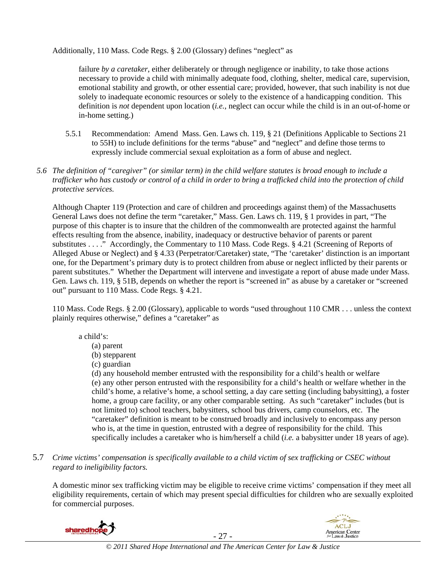Additionally, 110 Mass. Code Regs. § 2.00 (Glossary) defines "neglect" as

failure *by a caretaker*, either deliberately or through negligence or inability, to take those actions necessary to provide a child with minimally adequate food, clothing, shelter, medical care, supervision, emotional stability and growth, or other essential care; provided, however, that such inability is not due solely to inadequate economic resources or solely to the existence of a handicapping condition. This definition is *not* dependent upon location (*i.e.*, neglect can occur while the child is in an out-of-home or in-home setting.)

- 5.5.1 Recommendation: Amend Mass. Gen. Laws ch. 119, § 21 (Definitions Applicable to Sections 21 to 55H) to include definitions for the terms "abuse" and "neglect" and define those terms to expressly include commercial sexual exploitation as a form of abuse and neglect.
- *5.6 The definition of "caregiver" (or similar term) in the child welfare statutes is broad enough to include a trafficker who has custody or control of a child in order to bring a trafficked child into the protection of child protective services.*

Although Chapter 119 (Protection and care of children and proceedings against them) of the Massachusetts General Laws does not define the term "caretaker," Mass. Gen. Laws ch. 119, § 1 provides in part, "The purpose of this chapter is to insure that the children of the commonwealth are protected against the harmful effects resulting from the absence, inability, inadequacy or destructive behavior of parents or parent substitutes . . . ." Accordingly, the Commentary to 110 Mass. Code Regs. § 4.21 (Screening of Reports of Alleged Abuse or Neglect) and § 4.33 (Perpetrator/Caretaker) state, "The 'caretaker' distinction is an important one, for the Department's primary duty is to protect children from abuse or neglect inflicted by their parents or parent substitutes." Whether the Department will intervene and investigate a report of abuse made under Mass. Gen. Laws ch. 119, § 51B, depends on whether the report is "screened in" as abuse by a caretaker or "screened out" pursuant to 110 Mass. Code Regs. § 4.21.

110 Mass. Code Regs. § 2.00 (Glossary), applicable to words "used throughout 110 CMR . . . unless the context plainly requires otherwise," defines a "caretaker" as

# a child's:

- (a) parent
- (b) stepparent
- (c) guardian

(d) any household member entrusted with the responsibility for a child's health or welfare (e) any other person entrusted with the responsibility for a child's health or welfare whether in the child's home, a relative's home, a school setting, a day care setting (including babysitting), a foster home, a group care facility, or any other comparable setting. As such "caretaker" includes (but is not limited to) school teachers, babysitters, school bus drivers, camp counselors, etc. The "caretaker" definition is meant to be construed broadly and inclusively to encompass any person who is, at the time in question, entrusted with a degree of responsibility for the child. This specifically includes a caretaker who is him/herself a child (*i.e.* a babysitter under 18 years of age).

5.7 *Crime victims' compensation is specifically available to a child victim of sex trafficking or CSEC without regard to ineligibility factors.* 

A domestic minor sex trafficking victim may be eligible to receive crime victims' compensation if they meet all eligibility requirements, certain of which may present special difficulties for children who are sexually exploited for commercial purposes.





- 27 - *© 2011 Shared Hope International and The American Center for Law & Justice*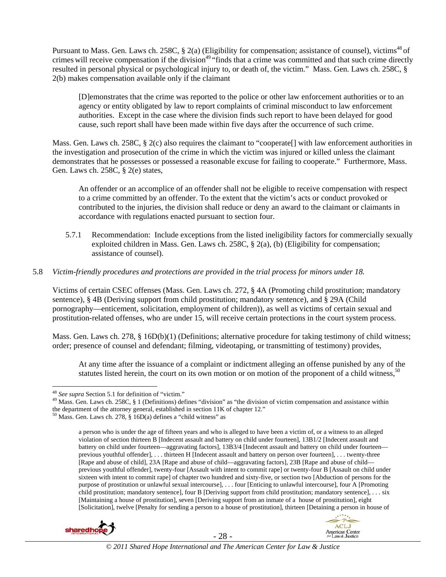Pursuant to Mass. Gen. Laws ch. 258C, § 2(a) (Eligibility for compensation; assistance of counsel), victims<sup>48</sup> of crimes will receive compensation if the division<sup>49</sup> "finds that a crime was committed and that such crime directly resulted in personal physical or psychological injury to, or death of, the victim." Mass. Gen. Laws ch. 258C, § 2(b) makes compensation available only if the claimant

[D]emonstrates that the crime was reported to the police or other law enforcement authorities or to an agency or entity obligated by law to report complaints of criminal misconduct to law enforcement authorities. Except in the case where the division finds such report to have been delayed for good cause, such report shall have been made within five days after the occurrence of such crime.

Mass. Gen. Laws ch. 258C, § 2(c) also requires the claimant to "cooperate[] with law enforcement authorities in the investigation and prosecution of the crime in which the victim was injured or killed unless the claimant demonstrates that he possesses or possessed a reasonable excuse for failing to cooperate." Furthermore, Mass. Gen. Laws ch. 258C, § 2(e) states,

An offender or an accomplice of an offender shall not be eligible to receive compensation with respect to a crime committed by an offender. To the extent that the victim's acts or conduct provoked or contributed to the injuries, the division shall reduce or deny an award to the claimant or claimants in accordance with regulations enacted pursuant to section four.

5.7.1 Recommendation: Include exceptions from the listed ineligibility factors for commercially sexually exploited children in Mass. Gen. Laws ch. 258C, § 2(a), (b) (Eligibility for compensation; assistance of counsel).

#### 5.8 *Victim-friendly procedures and protections are provided in the trial process for minors under 18.*

Victims of certain CSEC offenses (Mass. Gen. Laws ch. 272, § 4A (Promoting child prostitution; mandatory sentence), § 4B (Deriving support from child prostitution; mandatory sentence), and § 29A (Child pornography—enticement, solicitation, employment of children)), as well as victims of certain sexual and prostitution-related offenses, who are under 15, will receive certain protections in the court system process.

Mass. Gen. Laws ch. 278, § 16D(b)(1) (Definitions; alternative procedure for taking testimony of child witness; order; presence of counsel and defendant; filming, videotaping, or transmitting of testimony) provides,

At any time after the issuance of a complaint or indictment alleging an offense punished by any of the statutes listed herein, the court on its own motion or on motion of the proponent of a child witness,  $50$ 

a person who is under the age of fifteen years and who is alleged to have been a victim of, or a witness to an alleged violation of section thirteen B [Indecent assault and battery on child under fourteen], 13B1/2 [Indecent assault and battery on child under fourteen—aggravating factors], 13B3/4 [Indecent assault and battery on child under fourteen previous youthful offender], . . . thirteen H [Indecent assault and battery on person over fourteen], . . . twenty-three [Rape and abuse of child], 23A [Rape and abuse of child—aggravating factors], 23B [Rape and abuse of child previous youthful offender], twenty-four [Assault with intent to commit rape] or twenty-four B [Assault on child under sixteen with intent to commit rape] of chapter two hundred and sixty-five, or section two [Abduction of persons for the purpose of prostitution or unlawful sexual intercourse], . . . four [Enticing to unlawful intercourse], four A [Promoting child prostitution; mandatory sentence], four B [Deriving support from child prostitution; mandatory sentence], . . . six [Maintaining a house of prostitution], seven [Deriving support from an inmate of a house of prostitution], eight [Solicitation], twelve [Penalty for sending a person to a house of prostitution], thirteen [Detaining a person in house of





- 28 - *© 2011 Shared Hope International and The American Center for Law & Justice*

<sup>&</sup>lt;sup>48</sup> See supra Section 5.1 for definition of "victim."

<sup>&</sup>lt;sup>49</sup> Mass. Gen. Laws ch. 258C, § 1 (Definitions) defines "division" as "the division of victim compensation and assistance within the department of the attorney general, established in section 11K of chapter 12."  $50$  Mass. Gen. Laws ch. 278, § 16D(a) defines a "child witness" as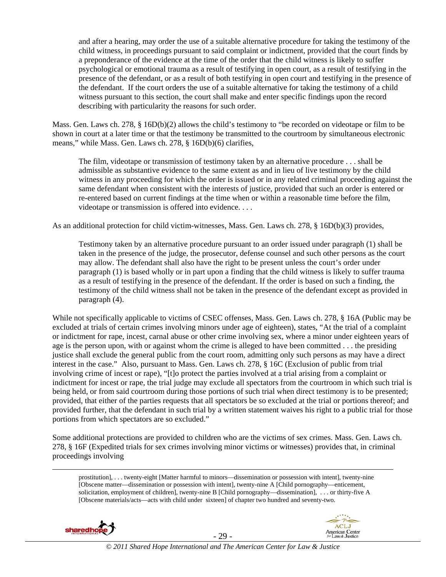and after a hearing, may order the use of a suitable alternative procedure for taking the testimony of the child witness, in proceedings pursuant to said complaint or indictment, provided that the court finds by a preponderance of the evidence at the time of the order that the child witness is likely to suffer psychological or emotional trauma as a result of testifying in open court, as a result of testifying in the presence of the defendant, or as a result of both testifying in open court and testifying in the presence of the defendant. If the court orders the use of a suitable alternative for taking the testimony of a child witness pursuant to this section, the court shall make and enter specific findings upon the record describing with particularity the reasons for such order.

Mass. Gen. Laws ch. 278, § 16D(b)(2) allows the child's testimony to "be recorded on videotape or film to be shown in court at a later time or that the testimony be transmitted to the courtroom by simultaneous electronic means," while Mass. Gen. Laws ch. 278, § 16D(b)(6) clarifies,

The film, videotape or transmission of testimony taken by an alternative procedure . . . shall be admissible as substantive evidence to the same extent as and in lieu of live testimony by the child witness in any proceeding for which the order is issued or in any related criminal proceeding against the same defendant when consistent with the interests of justice, provided that such an order is entered or re-entered based on current findings at the time when or within a reasonable time before the film, videotape or transmission is offered into evidence. . . .

As an additional protection for child victim-witnesses, Mass. Gen. Laws ch. 278, § 16D(b)(3) provides,

Testimony taken by an alternative procedure pursuant to an order issued under paragraph (1) shall be taken in the presence of the judge, the prosecutor, defense counsel and such other persons as the court may allow. The defendant shall also have the right to be present unless the court's order under paragraph (1) is based wholly or in part upon a finding that the child witness is likely to suffer trauma as a result of testifying in the presence of the defendant. If the order is based on such a finding, the testimony of the child witness shall not be taken in the presence of the defendant except as provided in paragraph (4).

While not specifically applicable to victims of CSEC offenses, Mass. Gen. Laws ch. 278, § 16A (Public may be excluded at trials of certain crimes involving minors under age of eighteen), states, "At the trial of a complaint or indictment for rape, incest, carnal abuse or other crime involving sex, where a minor under eighteen years of age is the person upon, with or against whom the crime is alleged to have been committed . . . the presiding justice shall exclude the general public from the court room, admitting only such persons as may have a direct interest in the case." Also, pursuant to Mass. Gen. Laws ch. 278, § 16C (Exclusion of public from trial involving crime of incest or rape), "[t]o protect the parties involved at a trial arising from a complaint or indictment for incest or rape, the trial judge may exclude all spectators from the courtroom in which such trial is being held, or from said courtroom during those portions of such trial when direct testimony is to be presented; provided, that either of the parties requests that all spectators be so excluded at the trial or portions thereof; and provided further, that the defendant in such trial by a written statement waives his right to a public trial for those portions from which spectators are so excluded."

Some additional protections are provided to children who are the victims of sex crimes. Mass. Gen. Laws ch. 278, § 16F (Expedited trials for sex crimes involving minor victims or witnesses) provides that, in criminal proceedings involving

 prostitution], . . . twenty-eight [Matter harmful to minors—dissemination or possession with intent], twenty-nine [Obscene matter—dissemination or possession with intent], twenty-nine A [Child pornography—enticement, solicitation, employment of children], twenty-nine B [Child pornography—dissemination], . . . or thirty-five A [Obscene materials/acts—acts with child under sixteen] of chapter two hundred and seventy-two.





- 29 - *© 2011 Shared Hope International and The American Center for Law & Justice*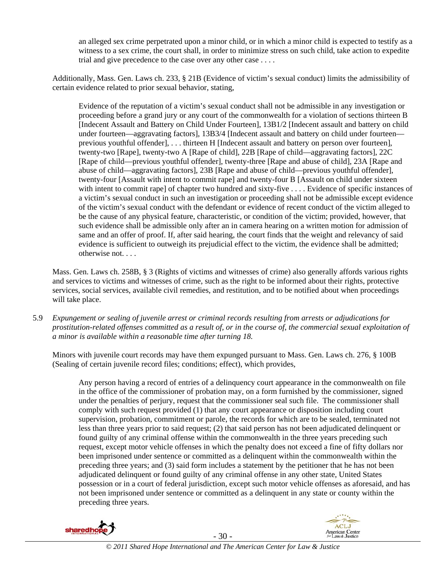an alleged sex crime perpetrated upon a minor child, or in which a minor child is expected to testify as a witness to a sex crime, the court shall, in order to minimize stress on such child, take action to expedite trial and give precedence to the case over any other case . . . .

Additionally, Mass. Gen. Laws ch. 233, § 21B (Evidence of victim's sexual conduct) limits the admissibility of certain evidence related to prior sexual behavior, stating,

Evidence of the reputation of a victim's sexual conduct shall not be admissible in any investigation or proceeding before a grand jury or any court of the commonwealth for a violation of sections thirteen B [Indecent Assault and Battery on Child Under Fourteen], 13B1/2 [Indecent assault and battery on child under fourteen—aggravating factors], 13B3/4 [Indecent assault and battery on child under fourteen previous youthful offender], . . . thirteen H [Indecent assault and battery on person over fourteen], twenty-two [Rape], twenty-two A [Rape of child], 22B [Rape of child—aggravating factors], 22C [Rape of child—previous youthful offender], twenty-three [Rape and abuse of child], 23A [Rape and abuse of child—aggravating factors], 23B [Rape and abuse of child—previous youthful offender], twenty-four [Assault with intent to commit rape] and twenty-four B [Assault on child under sixteen with intent to commit rape] of chapter two hundred and sixty-five . . . . Evidence of specific instances of a victim's sexual conduct in such an investigation or proceeding shall not be admissible except evidence of the victim's sexual conduct with the defendant or evidence of recent conduct of the victim alleged to be the cause of any physical feature, characteristic, or condition of the victim; provided, however, that such evidence shall be admissible only after an in camera hearing on a written motion for admission of same and an offer of proof. If, after said hearing, the court finds that the weight and relevancy of said evidence is sufficient to outweigh its prejudicial effect to the victim, the evidence shall be admitted; otherwise not. . . .

Mass. Gen. Laws ch. 258B, § 3 (Rights of victims and witnesses of crime) also generally affords various rights and services to victims and witnesses of crime, such as the right to be informed about their rights, protective services, social services, available civil remedies, and restitution, and to be notified about when proceedings will take place.

5.9 *Expungement or sealing of juvenile arrest or criminal records resulting from arrests or adjudications for prostitution-related offenses committed as a result of, or in the course of, the commercial sexual exploitation of a minor is available within a reasonable time after turning 18.* 

Minors with juvenile court records may have them expunged pursuant to Mass. Gen. Laws ch. 276, § 100B (Sealing of certain juvenile record files; conditions; effect), which provides,

Any person having a record of entries of a delinquency court appearance in the commonwealth on file in the office of the commissioner of probation may, on a form furnished by the commissioner, signed under the penalties of perjury, request that the commissioner seal such file. The commissioner shall comply with such request provided (1) that any court appearance or disposition including court supervision, probation, commitment or parole, the records for which are to be sealed, terminated not less than three years prior to said request; (2) that said person has not been adjudicated delinquent or found guilty of any criminal offense within the commonwealth in the three years preceding such request, except motor vehicle offenses in which the penalty does not exceed a fine of fifty dollars nor been imprisoned under sentence or committed as a delinquent within the commonwealth within the preceding three years; and (3) said form includes a statement by the petitioner that he has not been adjudicated delinquent or found guilty of any criminal offense in any other state, United States possession or in a court of federal jurisdiction, except such motor vehicle offenses as aforesaid, and has not been imprisoned under sentence or committed as a delinquent in any state or county within the preceding three years.



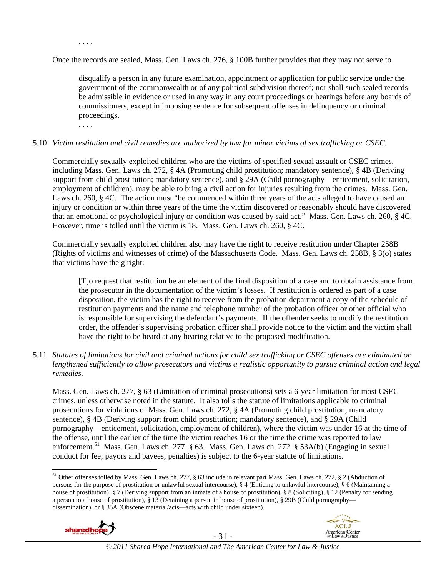Once the records are sealed, Mass. Gen. Laws ch. 276, § 100B further provides that they may not serve to

disqualify a person in any future examination, appointment or application for public service under the government of the commonwealth or of any political subdivision thereof; nor shall such sealed records be admissible in evidence or used in any way in any court proceedings or hearings before any boards of commissioners, except in imposing sentence for subsequent offenses in delinquency or criminal proceedings.

. . . .

. . . .

#### 5.10 *Victim restitution and civil remedies are authorized by law for minor victims of sex trafficking or CSEC.*

Commercially sexually exploited children who are the victims of specified sexual assault or CSEC crimes, including Mass. Gen. Laws ch. 272, § 4A (Promoting child prostitution; mandatory sentence), § 4B (Deriving support from child prostitution; mandatory sentence), and § 29A (Child pornography—enticement, solicitation, employment of children), may be able to bring a civil action for injuries resulting from the crimes. Mass. Gen. Laws ch. 260, § 4C. The action must "be commenced within three years of the acts alleged to have caused an injury or condition or within three years of the time the victim discovered or reasonably should have discovered that an emotional or psychological injury or condition was caused by said act." Mass. Gen. Laws ch. 260, § 4C. However, time is tolled until the victim is 18. Mass. Gen. Laws ch. 260, § 4C.

Commercially sexually exploited children also may have the right to receive restitution under Chapter 258B (Rights of victims and witnesses of crime) of the Massachusetts Code. Mass. Gen. Laws ch. 258B, § 3(o) states that victims have the g right:

[T]o request that restitution be an element of the final disposition of a case and to obtain assistance from the prosecutor in the documentation of the victim's losses. If restitution is ordered as part of a case disposition, the victim has the right to receive from the probation department a copy of the schedule of restitution payments and the name and telephone number of the probation officer or other official who is responsible for supervising the defendant's payments. If the offender seeks to modify the restitution order, the offender's supervising probation officer shall provide notice to the victim and the victim shall have the right to be heard at any hearing relative to the proposed modification.

5.11 *Statutes of limitations for civil and criminal actions for child sex trafficking or CSEC offenses are eliminated or lengthened sufficiently to allow prosecutors and victims a realistic opportunity to pursue criminal action and legal remedies.* 

Mass. Gen. Laws ch. 277, § 63 (Limitation of criminal prosecutions) sets a 6-year limitation for most CSEC crimes, unless otherwise noted in the statute. It also tolls the statute of limitations applicable to criminal prosecutions for violations of Mass. Gen. Laws ch. 272, § 4A (Promoting child prostitution; mandatory sentence), § 4B (Deriving support from child prostitution; mandatory sentence), and § 29A (Child pornography—enticement, solicitation, employment of children), where the victim was under 16 at the time of the offense, until the earlier of the time the victim reaches 16 or the time the crime was reported to law enforcement.<sup>51</sup> Mass. Gen. Laws ch. 277, § 63. Mass. Gen. Laws ch. 272, § 53A(b) (Engaging in sexual conduct for fee; payors and payees; penalties) is subject to the 6-year statute of limitations.

<sup>&</sup>lt;sup>51</sup> Other offenses tolled by Mass. Gen. Laws ch. 277, § 63 include in relevant part Mass. Gen. Laws ch. 272, § 2 (Abduction of persons for the purpose of prostitution or unlawful sexual intercourse), § 4 (Enticing to unlawful intercourse), § 6 (Maintaining a house of prostitution), § 7 (Deriving support from an inmate of a house of prostitution), § 8 (Soliciting), § 12 (Penalty for sending a person to a house of prostitution), § 13 (Detaining a person in house of prostitution), § 29B (Child pornography dissemination), or § 35A (Obscene material/acts—acts with child under sixteen).



 $\overline{a}$ 



- 31 - *© 2011 Shared Hope International and The American Center for Law & Justice*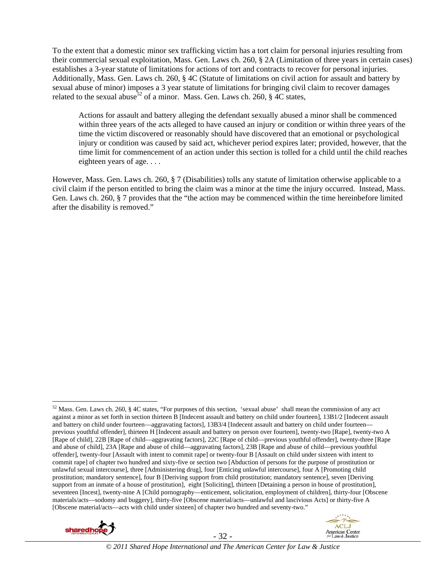To the extent that a domestic minor sex trafficking victim has a tort claim for personal injuries resulting from their commercial sexual exploitation, Mass. Gen. Laws ch. 260, § 2A (Limitation of three years in certain cases) establishes a 3-year statute of limitations for actions of tort and contracts to recover for personal injuries. Additionally, Mass. Gen. Laws ch. 260, § 4C (Statute of limitations on civil action for assault and battery by sexual abuse of minor) imposes a 3 year statute of limitations for bringing civil claim to recover damages related to the sexual abuse<sup>52</sup> of a minor. Mass. Gen. Laws ch. 260,  $\S$  4C states,

Actions for assault and battery alleging the defendant sexually abused a minor shall be commenced within three years of the acts alleged to have caused an injury or condition or within three years of the time the victim discovered or reasonably should have discovered that an emotional or psychological injury or condition was caused by said act, whichever period expires later; provided, however, that the time limit for commencement of an action under this section is tolled for a child until the child reaches eighteen years of age. . . .

However, Mass. Gen. Laws ch. 260, § 7 (Disabilities) tolls any statute of limitation otherwise applicable to a civil claim if the person entitled to bring the claim was a minor at the time the injury occurred. Instead, Mass. Gen. Laws ch. 260, § 7 provides that the "the action may be commenced within the time hereinbefore limited after the disability is removed."

 $52$  Mass. Gen. Laws ch. 260, § 4C states, "For purposes of this section, 'sexual abuse' shall mean the commission of any act against a minor as set forth in section thirteen B [Indecent assault and battery on child under fourteen], 13B1/2 [Indecent assault and battery on child under fourteen—aggravating factors], 13B3/4 [Indecent assault and battery on child under fourteen previous youthful offender], thirteen H [Indecent assault and battery on person over fourteen], twenty-two [Rape], twenty-two A [Rape of child], 22B [Rape of child—aggravating factors], 22C [Rape of child—previous youthful offender], twenty-three [Rape and abuse of child], 23A [Rape and abuse of child—aggravating factors], 23B [Rape and abuse of child—previous youthful offender], twenty-four [Assault with intent to commit rape] or twenty-four B [Assault on child under sixteen with intent to commit rape] of chapter two hundred and sixty-five or section two [Abduction of persons for the purpose of prostitution or unlawful sexual intercourse], three [Administering drug], four [Enticing unlawful intercourse], four A [Promoting child prostitution; mandatory sentence], four B [Deriving support from child prostitution; mandatory sentence], seven [Deriving support from an inmate of a house of prostitution], eight [Soliciting], thirteen [Detaining a person in house of prostitution], seventeen [Incest], twenty-nine A [Child pornography—enticement, solicitation, employment of children], thirty-four [Obscene materials/acts—sodomy and buggery], thirty-five [Obscene material/acts—unlawful and lascivious Acts] or thirty-five A [Obscene material/acts—acts with child under sixteen] of chapter two hundred and seventy-two."



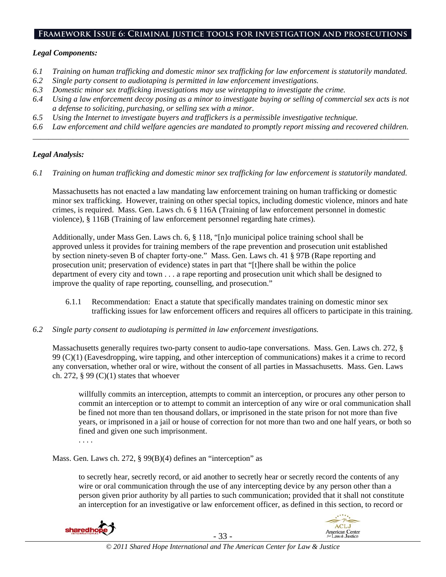#### **Framework Issue 6: Criminal justice tools for investigation and prosecutions**

#### *Legal Components:*

- *6.1 Training on human trafficking and domestic minor sex trafficking for law enforcement is statutorily mandated.*
- *6.2 Single party consent to audiotaping is permitted in law enforcement investigations.*
- *6.3 Domestic minor sex trafficking investigations may use wiretapping to investigate the crime.*
- *6.4 Using a law enforcement decoy posing as a minor to investigate buying or selling of commercial sex acts is not a defense to soliciting, purchasing, or selling sex with a minor.*
- *6.5 Using the Internet to investigate buyers and traffickers is a permissible investigative technique.*
- *6.6 Law enforcement and child welfare agencies are mandated to promptly report missing and recovered children. \_\_\_\_\_\_\_\_\_\_\_\_\_\_\_\_\_\_\_\_\_\_\_\_\_\_\_\_\_\_\_\_\_\_\_\_\_\_\_\_\_\_\_\_\_\_\_\_\_\_\_\_\_\_\_\_\_\_\_\_\_\_\_\_\_\_\_\_\_\_\_\_\_\_\_\_\_\_\_\_\_\_\_\_\_\_\_\_\_\_\_\_\_\_*

#### *Legal Analysis:*

*6.1 Training on human trafficking and domestic minor sex trafficking for law enforcement is statutorily mandated.*

Massachusetts has not enacted a law mandating law enforcement training on human trafficking or domestic minor sex trafficking. However, training on other special topics, including domestic violence, minors and hate crimes, is required. Mass. Gen. Laws ch. 6 § 116A (Training of law enforcement personnel in domestic violence), § 116B (Training of law enforcement personnel regarding hate crimes).

Additionally, under Mass Gen. Laws ch. 6, § 118, "[n]o municipal police training school shall be approved unless it provides for training members of the rape prevention and prosecution unit established by section ninety-seven B of chapter forty-one." Mass. Gen. Laws ch. 41 § 97B (Rape reporting and prosecution unit; preservation of evidence) states in part that "[t]here shall be within the police department of every city and town . . . a rape reporting and prosecution unit which shall be designed to improve the quality of rape reporting, counselling, and prosecution."

- 6.1.1 Recommendation: Enact a statute that specifically mandates training on domestic minor sex trafficking issues for law enforcement officers and requires all officers to participate in this training.
- *6.2 Single party consent to audiotaping is permitted in law enforcement investigations.*

Massachusetts generally requires two-party consent to audio-tape conversations. Mass. Gen. Laws ch. 272, § 99 (C)(1) (Eavesdropping, wire tapping, and other interception of communications) makes it a crime to record any conversation, whether oral or wire, without the consent of all parties in Massachusetts. Mass. Gen. Laws ch. 272,  $\S 99 (C)(1)$  states that whoever

willfully commits an interception, attempts to commit an interception, or procures any other person to commit an interception or to attempt to commit an interception of any wire or oral communication shall be fined not more than ten thousand dollars, or imprisoned in the state prison for not more than five years, or imprisoned in a jail or house of correction for not more than two and one half years, or both so fined and given one such imprisonment.

. . . .

Mass. Gen. Laws ch. 272, § 99(B)(4) defines an "interception" as

to secretly hear, secretly record, or aid another to secretly hear or secretly record the contents of any wire or oral communication through the use of any intercepting device by any person other than a person given prior authority by all parties to such communication; provided that it shall not constitute an interception for an investigative or law enforcement officer, as defined in this section, to record or



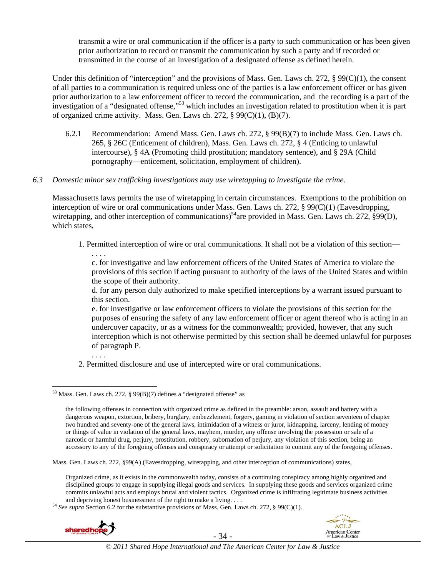transmit a wire or oral communication if the officer is a party to such communication or has been given prior authorization to record or transmit the communication by such a party and if recorded or transmitted in the course of an investigation of a designated offense as defined herein.

Under this definition of "interception" and the provisions of Mass. Gen. Laws ch. 272,  $\S 99(C)(1)$ , the consent of all parties to a communication is required unless one of the parties is a law enforcement officer or has given prior authorization to a law enforcement officer to record the communication, and the recording is a part of the investigation of a "designated offense,"53 which includes an investigation related to prostitution when it is part of organized crime activity. Mass. Gen. Laws ch. 272, § 99(C)(1), (B)(7).

- 6.2.1 Recommendation: Amend Mass. Gen. Laws ch. 272, § 99(B)(7) to include Mass. Gen. Laws ch. 265, § 26C (Enticement of children), Mass. Gen. Laws ch. 272, § 4 (Enticing to unlawful intercourse), § 4A (Promoting child prostitution; mandatory sentence), and § 29A (Child pornography—enticement, solicitation, employment of children).
- *6.3 Domestic minor sex trafficking investigations may use wiretapping to investigate the crime.*

Massachusetts laws permits the use of wiretapping in certain circumstances. Exemptions to the prohibition on interception of wire or oral communications under Mass. Gen. Laws ch. 272, § 99(C)(1) (Eavesdropping, wiretapping, and other interception of communications)<sup>54</sup>are provided in Mass. Gen. Laws ch. 272, §99(D), which states,

1. Permitted interception of wire or oral communications. It shall not be a violation of this section— . . . .

c. for investigative and law enforcement officers of the United States of America to violate the provisions of this section if acting pursuant to authority of the laws of the United States and within the scope of their authority.

d. for any person duly authorized to make specified interceptions by a warrant issued pursuant to this section.

e. for investigative or law enforcement officers to violate the provisions of this section for the purposes of ensuring the safety of any law enforcement officer or agent thereof who is acting in an undercover capacity, or as a witness for the commonwealth; provided, however, that any such interception which is not otherwise permitted by this section shall be deemed unlawful for purposes of paragraph P.

. . . .

2. Permitted disclosure and use of intercepted wire or oral communications.

Mass. Gen. Laws ch. 272, §99(A) (Eavesdropping, wiretapping, and other interception of communications) states,

and depriving honest businessmen of the right to make a living. . . . . 54 *See supra* Section 6.2 for the substantive provisions of Mass. Gen. Laws ch. 272, § 99(C)(1).





 $\overline{a}$  $53$  Mass. Gen. Laws ch. 272, § 99(B)(7) defines a "designated offense" as

the following offenses in connection with organized crime as defined in the preamble: arson, assault and battery with a dangerous weapon, extortion, bribery, burglary, embezzlement, forgery, gaming in violation of section seventeen of chapter two hundred and seventy-one of the general laws, intimidation of a witness or juror, kidnapping, larceny, lending of money or things of value in violation of the general laws, mayhem, murder, any offense involving the possession or sale of a narcotic or harmful drug, perjury, prostitution, robbery, subornation of perjury, any violation of this section, being an accessory to any of the foregoing offenses and conspiracy or attempt or solicitation to commit any of the foregoing offenses.

Organized crime, as it exists in the commonwealth today, consists of a continuing conspiracy among highly organized and disciplined groups to engage in supplying illegal goods and services. In supplying these goods and services organized crime commits unlawful acts and employs brutal and violent tactics. Organized crime is infiltrating legitimate business activities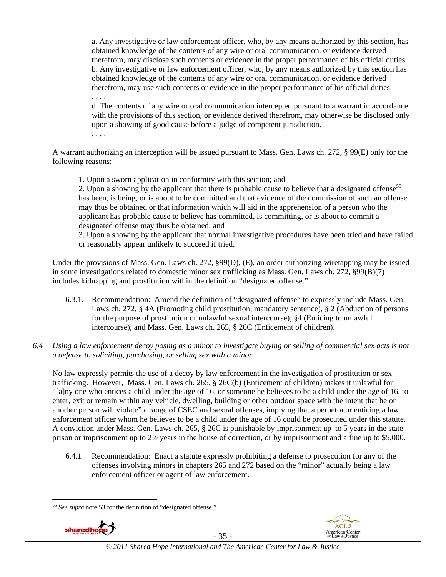a. Any investigative or law enforcement officer, who, by any means authorized by this section, has obtained knowledge of the contents of any wire or oral communication, or evidence derived therefrom, may disclose such contents or evidence in the proper performance of his official duties. b. Any investigative or law enforcement officer, who, by any means authorized by this section has obtained knowledge of the contents of any wire or oral communication, or evidence derived therefrom, may use such contents or evidence in the proper performance of his official duties. . . . .

d. The contents of any wire or oral communication intercepted pursuant to a warrant in accordance with the provisions of this section, or evidence derived therefrom, may otherwise be disclosed only upon a showing of good cause before a judge of competent jurisdiction.

. . . .

A warrant authorizing an interception will be issued pursuant to Mass. Gen. Laws ch. 272, § 99(E) only for the following reasons:

1. Upon a sworn application in conformity with this section; and

2. Upon a showing by the applicant that there is probable cause to believe that a designated offense<sup>55</sup> has been, is being, or is about to be committed and that evidence of the commission of such an offense may thus be obtained or that information which will aid in the apprehension of a person who the applicant has probable cause to believe has committed, is committing, or is about to commit a designated offense may thus be obtained; and

3. Upon a showing by the applicant that normal investigative procedures have been tried and have failed or reasonably appear unlikely to succeed if tried.

Under the provisions of Mass. Gen. Laws ch. 272, §99(D), (E), an order authorizing wiretapping may be issued in some investigations related to domestic minor sex trafficking as Mass. Gen. Laws ch. 272, §99(B)(7) includes kidnapping and prostitution within the definition "designated offense."

- 6.3.1. Recommendation: Amend the definition of "designated offense" to expressly include Mass. Gen. Laws ch. 272, § 4A (Promoting child prostitution; mandatory sentence), § 2 (Abduction of persons for the purpose of prostitution or unlawful sexual intercourse), §4 (Enticing to unlawful intercourse), and Mass. Gen. Laws ch. 265, § 26C (Enticement of children).
- *6.4 Using a law enforcement decoy posing as a minor to investigate buying or selling of commercial sex acts is not a defense to soliciting, purchasing, or selling sex with a minor.*

No law expressly permits the use of a decoy by law enforcement in the investigation of prostitution or sex trafficking. However, Mass. Gen. Laws ch. 265, § 26C(b) (Enticement of children) makes it unlawful for "[a]ny one who entices a child under the age of 16, or someone he believes to be a child under the age of 16, to enter, exit or remain within any vehicle, dwelling, building or other outdoor space with the intent that he or another person will violate" a range of CSEC and sexual offenses, implying that a perpetrator enticing a law enforcement officer whom he believes to be a child under the age of 16 could be prosecuted under this statute. A conviction under Mass. Gen. Laws ch. 265, § 26C is punishable by imprisonment up to 5 years in the state prison or imprisonment up to 2½ years in the house of correction, or by imprisonment and a fine up to \$5,000.

6.4.1 Recommendation: Enact a statute expressly prohibiting a defense to prosecution for any of the offenses involving minors in chapters 265 and 272 based on the "minor" actually being a law enforcement officer or agent of law enforcement.

 $\overline{a}$ <sup>55</sup> *See supra* note 53 for the definition of "designated offense."



- 35 -



*© 2011 Shared Hope International and The American Center for Law & Justice*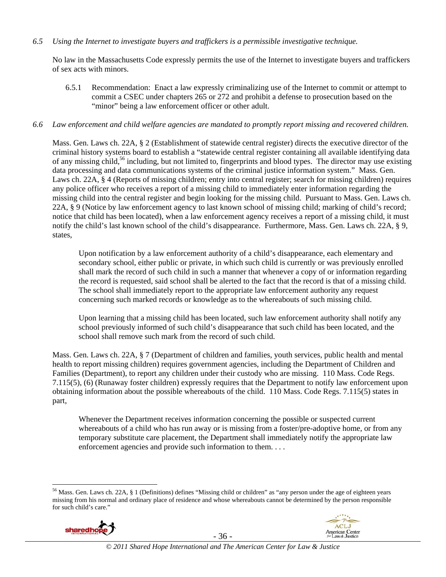#### *6.5 Using the Internet to investigate buyers and traffickers is a permissible investigative technique.*

No law in the Massachusetts Code expressly permits the use of the Internet to investigate buyers and traffickers of sex acts with minors.

6.5.1 Recommendation: Enact a law expressly criminalizing use of the Internet to commit or attempt to commit a CSEC under chapters 265 or 272 and prohibit a defense to prosecution based on the "minor" being a law enforcement officer or other adult.

#### *6.6 Law enforcement and child welfare agencies are mandated to promptly report missing and recovered children.*

Mass. Gen. Laws ch. 22A, § 2 (Establishment of statewide central register) directs the executive director of the criminal history systems board to establish a "statewide central register containing all available identifying data of any missing child,<sup>56</sup> including, but not limited to, fingerprints and blood types. The director may use existing data processing and data communications systems of the criminal justice information system." Mass. Gen. Laws ch. 22A, § 4 (Reports of missing children; entry into central register; search for missing children) requires any police officer who receives a report of a missing child to immediately enter information regarding the missing child into the central register and begin looking for the missing child. Pursuant to Mass. Gen. Laws ch. 22A, § 9 (Notice by law enforcement agency to last known school of missing child; marking of child's record; notice that child has been located), when a law enforcement agency receives a report of a missing child, it must notify the child's last known school of the child's disappearance. Furthermore, Mass. Gen. Laws ch. 22A, § 9, states,

Upon notification by a law enforcement authority of a child's disappearance, each elementary and secondary school, either public or private, in which such child is currently or was previously enrolled shall mark the record of such child in such a manner that whenever a copy of or information regarding the record is requested, said school shall be alerted to the fact that the record is that of a missing child. The school shall immediately report to the appropriate law enforcement authority any request concerning such marked records or knowledge as to the whereabouts of such missing child.

Upon learning that a missing child has been located, such law enforcement authority shall notify any school previously informed of such child's disappearance that such child has been located, and the school shall remove such mark from the record of such child.

Mass. Gen. Laws ch. 22A, § 7 (Department of children and families, youth services, public health and mental health to report missing children) requires government agencies, including the Department of Children and Families (Department), to report any children under their custody who are missing. 110 Mass. Code Regs. 7.115(5), (6) (Runaway foster children) expressly requires that the Department to notify law enforcement upon obtaining information about the possible whereabouts of the child. 110 Mass. Code Regs. 7.115(5) states in part,

Whenever the Department receives information concerning the possible or suspected current whereabouts of a child who has run away or is missing from a foster/pre-adoptive home, or from any temporary substitute care placement, the Department shall immediately notify the appropriate law enforcement agencies and provide such information to them. . . .

<sup>&</sup>lt;sup>56</sup> Mass. Gen. Laws ch. 22A, § 1 (Definitions) defines "Missing child or children" as "any person under the age of eighteen years missing from his normal and ordinary place of residence and whose whereabouts cannot be determined by the person responsible for such child's care."